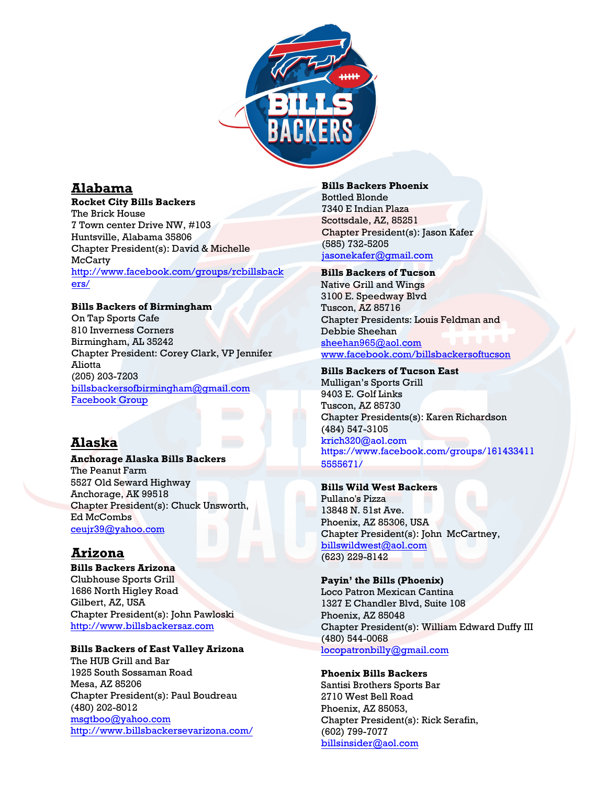

# **Alabama**

#### **Rocket City Bills Backers**

The Brick House 7 Town center Drive NW, #103 Huntsville, Alabama 35806 Chapter President(s): David & Michelle **McCarty** http://www.facebook.com/groups/rcbillsback ers/

### **[Bills Backers of Birmingham](http://www.facebook.com/groups/rcbillsbackers/)**

[On T](http://www.facebook.com/groups/rcbillsbackers/)ap Sports Cafe 810 Inverness Corners Birmingham, AL 35242 Chapter President: Corey Clark, VP Jennifer Aliotta (205) 203-7203 billsbackersofbirmingham@gmail.com [Facebook Group](https://www.facebook.com/groups/BillsBackersBirmingham/)

# **Alaska**

**Anchorage Alaska Bills Backers** The Peanut Farm 5527 Old Seward Highway Anchorage, AK 99518 [Chapter President\(s\):](http://www.billsbackersaz.com/) Chuck Unsworth, Ed McCombs ceujr39@yahoo.com

# **Arizona**

**Bills Backers Arizona**  Clubhouse Sports Grill 1686 North Higley Road [Gilbert, AZ, USA](mailto:msgtboo@yahoo.com)  [Chapter President\(s\): John Pawloski](http://www.billsbackersevarizona.com/)  http://www.billsbackersaz.com

### **Bills Backers of East Valley Arizona**

The HUB Grill and Bar 1925 South Sossaman Road Mesa, AZ 85206 Chapter President(s): Paul Boudreau [\(480\) 202-8012](mailto:jasonekafer@gmail.com) msgtboo@yahoo.com http://www.billsbackersevarizona.com/ **Bills Backers Phoenix**  Bottled Blonde 7340 E Indian Plaza Scottsdale, AZ, 85251 Chapter President(s): Jason Kafer (585) 732-5205 jasonekafer@gmail.com

## **Bills Backers of Tucson**

Native Grill and Wings [3100 E. Speedway Blvd](mailto:sheehan965@aol.com) [Tuscon, AZ 85716](http://www.facebook.com/billsbackersoftucson) Chapter Presidents: Louis Feldman and Debbie Sheehan sheehan965@aol.com www.facebook.com/billsbackersoftucson

#### **Bills Backers of Tucson East**

Mulligan's Sports Grill [9403 E. Golf Links](mailto:krich320@aol.com) Tuscon, AZ 85730 [Chapter Presidents\(s\): Karen Richardson](https://www.facebook.com/groups/1614334115555671/) (484) 547-3105 krich320@aol.com https://www.facebook.com/groups/161433411 5555671/

#### **Bills Wild West Backers**

Pullano's Pizza [13848 N. 51st Ave.](mailto:billswildwest@cox.net)  Phoenix, AZ 85306, USA Chapter President(s): John McCartney, billswildwest@aol.com (623) 229-8142

#### **Payin' the Bills (Phoenix)**

[Loco Patron Mexican Cantina](mailto:locopatronbilly@gmail.com) 1327 E Chandler Blvd, Suite 108 Phoenix, AZ 85048 Chapter President(s): William Edward Duffy III (480) 544-0068 locopatronbilly@gmail.com

#### **Phoenix Bills Backers**

[Santisi Brothers Sports](mailto:billsinsider@aol.com) Bar 2710 West Bell Road Phoenix, AZ 85053, Chapter President(s): Rick Serafin, (602) 799-7077 billsinsider@aol.com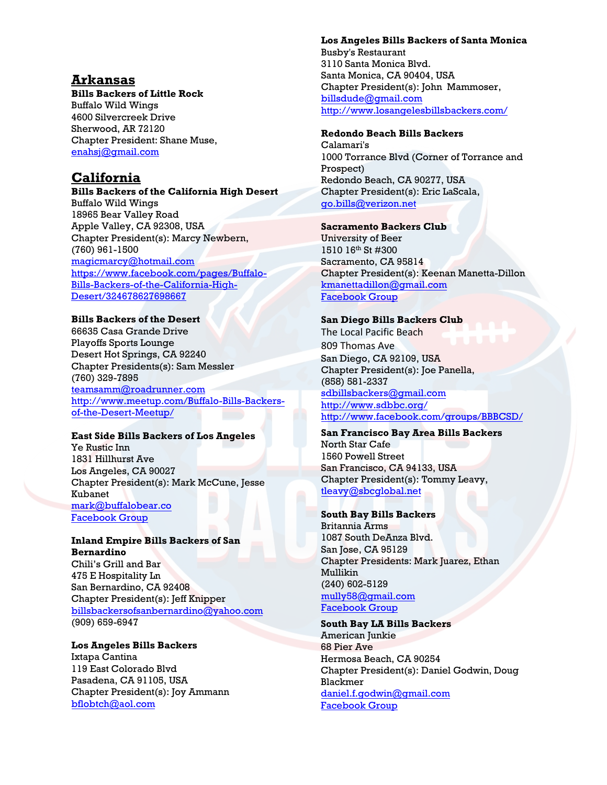# **Arkansas**

## **Bills Backers of Little Rock**

Buffalo Wild Wings 4600 Silvercreek Drive Sherwood, AR 72120 Chapter President: Shane Muse, [enahsj@gmail.com](mailto:enahsj@gmail.com)

# **California**

**Bills Backers of the California High Desert** Buffalo Wild Wings 18965 Bear Valley Road Apple Valley, CA 92308, USA Chapter President(s): Marcy Newbern, (760) 961-1500 [magicmarcy@hotmail.com](mailto:magicmarcy@hotmail.com) [https://www.facebook.com/pages/Buffalo-](https://www.facebook.com/pages/Buffalo-Bills-Backers-of-the-California-High-Desert/324678627698667)[Bills-Backers-of-the-California-High-](https://www.facebook.com/pages/Buffalo-Bills-Backers-of-the-California-High-Desert/324678627698667)[Desert/324678627698667](https://www.facebook.com/pages/Buffalo-Bills-Backers-of-the-California-High-Desert/324678627698667)

## **Bills Backers of the Desert**

66635 Casa Grande Drive Playoffs Sports Lounge Desert Hot Springs, CA 92240 Chapter Presidents(s): Sam Messler (760) 329-7895 [teamsamm@roadrunner.com](mailto:teamsamm@roadrunner.com) [http://www.meetup.com/Buffalo-Bills-Backers](http://www.meetup.com/Buffalo-Bills-Backers-of-the-Desert-Meetup/)[of-the-Desert-Meetup/](http://www.meetup.com/Buffalo-Bills-Backers-of-the-Desert-Meetup/)

## **East Side Bills Backers of Los Angeles**

Ye Rustic Inn 1831 Hillhurst Ave Los Angeles, CA 90027 Chapter President(s): Mark McCune, Jesse [Kubanet](mailto:gregkash@gmail.com) [mark@buffalobear.co](https://www.facebook.com/groups/306646329536803/) [Facebo](https://www.facebook.com/groups/306646329536803/)[ok Group](https://www.facebook.com/groups/306646329536803/?multi_permalinks=971648679703228¬if_id=1536177625449458¬if_t=group_activity)

#### **Inland Empire Bills Backers of San Bernardino**

Chili's Grill and Bar 475 E Hospitality Ln San Bernardino, CA 92408 Chapter President(s): Jeff Knipper [billsbackersofsanbernardino@yahoo.com](mailto:billsbackersofsanbernardino@yahoo.com) (909) 659-6947

#### **Los Angeles Bills Backers**  Ixtapa Cantina 119 East Colorado Blvd Pasadena, CA 91105, USA Chapter President(s): Joy Ammann [bflobtch@aol.com](mailto:bflobtch@aol.com)

#### **Los Angeles Bills Backers of Santa Monica**

Busby's Restaurant 3110 Santa Monica Blvd. Santa Monica, CA 90404, USA Chapter President(s): John Mammoser, billsdude@gmail.com http://www.losangelesbillsbackers.com/

## **Redondo Beach Bills Backers**

[Calamari's](mailto:billsdude@gmail.com)  [1000 Torrance Blvd \(Corner of Torrance a](http://www.losangelesbillsbackers.com/)nd Prospect) Redondo Beach, CA 90277, USA Chapter President(s): Eric LaScala, go.bills@verizon.net

## **Sacramento Backers Club**

University of Beer 1510 16th [St #300](mailto:go.bills@verizon.net)  Sacramento, CA 95814 Chapter President(s): Keenan Manetta-Dillon kmanettadillon@gmail.com [Facebook Group](https://www.facebook.com/pg/SacramentoBillsBackers)

### **San Diego Bills Backers Club**

[The Local Pacific Beach](mailto:kmanettadillion@gmail.com)  809 Thomas Ave San Diego, CA 92109, USA Chapter President(s): Joe Panella, (858) 581-2337 sdbillsbackers@gmail.com http://www.sdbbc.org/ http://www.facebook.com/groups/BBBCSD/

#### **[San Francisco Bay Area Bil](mailto:sdbillsbackers@gmail.com)ls Backers**  [North Star Cafe](http://www.sdbbc.org/)  [1560 Powell Street](http://www.facebook.com/groups/BBBCSD/)  San Francisco, CA 94133, USA Chapter President(s): Tommy Leavy, tleavy@sbcglobal.net

### **South Bay Bills Backers**

Britannia Arms [1087 South DeAnza Blv](mailto:tleavy@sbcglobal.net)d. San Jose, CA 95129 Chapter Presidents: Mark Juarez, Ethan Mullikin (240) 602-5129 mully58@gmail.com [Facebook Group](https://www.facebook.com/groups/southbaybb/)

### **South Bay LA Bills Backers**

[American Junkie](mailto:mully58@gmail.com) 68 Pier Ave Hermosa Beach, CA 90254 Chapter President(s): Daniel Godwin, Doug Blackmer daniel.f.godwin@gmail.com [Facebook Group](https://www.facebook.com/groups/SouthBayLAbillsbackers/)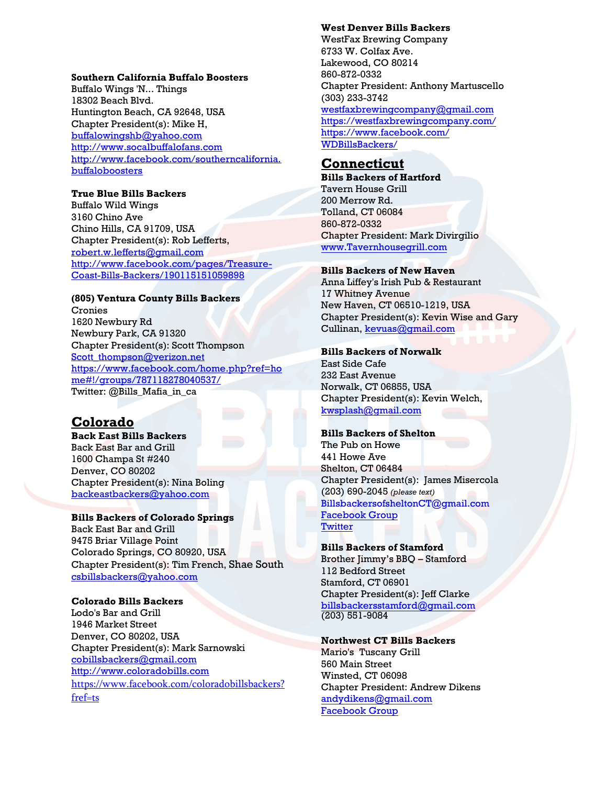#### **Southern California Buffalo Boosters**

Buffalo Wings 'N... Things 18302 Beach Blvd. Huntington Beach, CA 92648, USA Chapter President(s): Mike H, [buffalowingshb@yahoo.com](mailto:buffalowingshb@yahoo.com) [http://www.socalbuffalofans.com](http://www.socalbuffalofans.com/) [http://www.facebook.com/southerncalifornia.](http://www.facebook.com/southerncalifornia.buffaloboosters) [buffaloboosters](http://www.facebook.com/southerncalifornia.buffaloboosters)

#### **True Blue Bills Backers**

Buffalo Wild Wings 3160 Chino Ave Chino Hills, CA 91709, USA Chapter President(s): Rob Lefferts, [robert.w.lefferts@gmail.com](mailto:robert.w.lefferts@gmail.com) [http://www.facebook.com/pages/Treasure-](http://www.facebook.com/pages/Treasure-Coast-Bills-Backers/190115151059898)[Coast-Bills-Backers/190115151059898](http://www.facebook.com/pages/Treasure-Coast-Bills-Backers/190115151059898)

#### **(805) Ventura County Bills Backers**

Cronies 1620 Newbury Rd Newbury Park, CA 91320 Chapter President(s): Scott Thompson [Scott\\_thompson@verizon.net](mailto:Scott_thompson@verizon.net) [https://www.facebook.com/home.php?ref=ho](https://www.facebook.com/home.php?ref=home#!/groups/787118278040537/) [me#!/groups/787118278040537/](https://www.facebook.com/home.php?ref=home#!/groups/787118278040537/) Twitter: @Bills\_Mafia\_in\_ca

# **Colorado**

**Back East Bills Backers** Back East Bar and Grill 1600 Champa St #240 Denver, CO 80202 Chapter President(s): Nina Boling [backeastbackers@yahoo.com](mailto:backeastbackers@yahoo.com)

#### **Bills Backers of Colorado Springs**

Back East Bar and Grill 9475 Briar Village Point Colorado Springs, CO 80920, USA Chapter President(s): Tim French, Shae South [csbillsbackers@yahoo.com](mailto:csbillsbackers@yahoo.com)

### **Colorado Bills Backers**

Lodo's Bar and Grill 1946 Market Street Denver, CO 80202, USA Chapter President(s): Mark Sarnowski [cobillsbackers@gmail.com](mailto:cobillsbackers@gmail.com) [http://www.coloradobills.com](http://www.coloradobills.com/) [https://www.facebook.com/coloradobillsbackers?](https://www.facebook.com/coloradobillsbackers?fref=ts) [fref=ts](https://www.facebook.com/coloradobillsbackers?fref=ts)

### **West Denver Bills Backers**

WestFax Brewing Company 6733 W. Colfax Ave. Lakewood, CO 80214 860-872-0332 Chapter President: Anthony Martuscello (303) 233-3742 westfaxbrewingcompany@gmail.com https://westfaxbrewingcompany.com/ https://www.facebook.com/ WDBillsBackers/

# **[Connecticut](mailto:westfaxbrewingcompany@gmail.com)**

**Bills Backers of Hartford**  Tavern House Grill 200 Merrow Rd. Tolland, CT 06084 860-872-0332 Chapter President: Mark Divirgilio www.Tavernhousegrill.com

#### **[Bills Backers of New Haven](http://www.tavernhousegrill.com/)**

Anna Liffey's Irish Pub & Restaurant 17 Whitney Avenue New Haven, CT 06510-1219, USA Chapter President(s): Kevin Wise and Gary Cullinan, kevuas@gmail.com

#### **Bills Ba[ckers of Norwalk](mailto:kevuas@gmail.com)**

East Side Cafe 232 East Avenue Norwalk, CT 06855, USA Chapter President(s): Kevin Welch, kwsplash@gmail.com

#### **[Bills Backers of Shelto](mailto:kwsplash@gmail.com)n**

The Pub on Howe 441 Howe Ave Shelton, CT 06484 Chapter President(s): James Misercola (203) 690-2045 *(please text)* BillsbackersofsheltonCT@gmail.com [Facebook Group](https://www.facebook.com/SheltonCTBillsBackers/) **[Twitter](https://twitter.com/SheltonCTBills)** 

#### **[Bills B](https://www.facebook.com/SheltonCTBillsBackers%20 )ackers of Stamford**

Brother Jimmy's BBQ – Stamford 112 Bedford Street Stamford, CT 06901 Chapter President(s): Jeff Clarke billsbackersstamford@gmail.com [\(203\) 551-9084](mailto:billsbackersstamford@gmail.com)

#### **Northwest CT Bills Backers**

Mario's Tuscany Grill 560 Main Street Winsted, CT 06098 Chapter President: Andrew Dikens andydikens@gmail.com [Facebook Group](https://www.facebook.com/NorthwestCTBillsbackers/)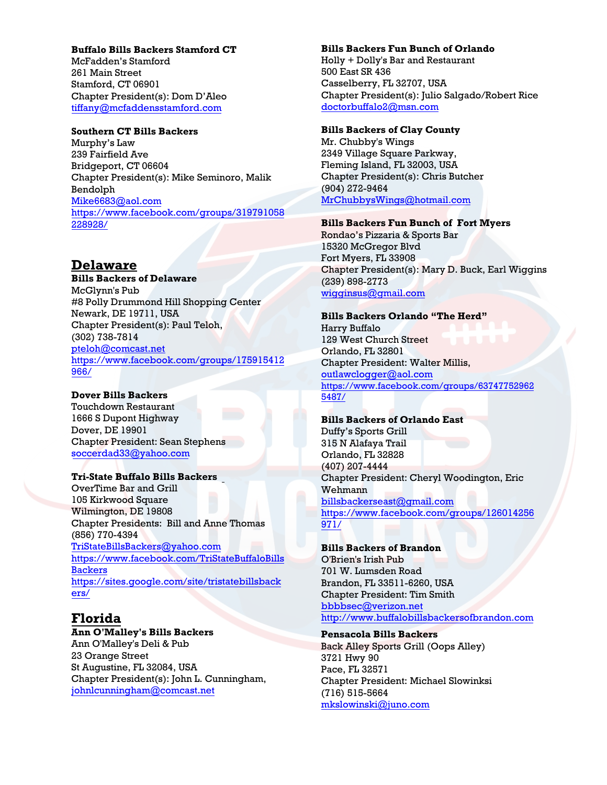#### **Buffalo Bills Backers Stamford CT**

McFadden's Stamford 261 Main Street Stamford, CT 06901 Chapter President(s): Dom D'Aleo tiffany@mcfaddensstamford.com

## **[Southern CT Bills Backers](mailto:tiffany@mcfaddensstamford.com)**

Murphy's Law 239 Fairfield Ave Bridgeport, CT 06604 Chapter President(s): Mike Seminoro, Malik Bendolph Mike6683@aol.com https://www.facebook.com/groups/319791058 [228928/](mailto:Mike6683@aol.com)

# **Delaware**

**Bills Backers of Delaware**  McGlynn's Pub #8 Polly Drummond Hill Shopping Center Newark, DE 19711, USA Chapter President(s): Paul Teloh, (302) 738-7814 pteloh@comcast.net [https://www.faceboo](mailto:pteloh@comcast.net)k.com/groups/175915412 [966/](https://www.facebook.com/groups/175915412966/)

### **Dover Bills Backers**

Touchdown Restaurant 1666 S Dupont Highway Dover, DE 19901 Chapter President: Sean Stephens soccerdad33@yahoo.com

## **T[ri-State Buffalo Bills Backers](mailto:TriStateBillsBackers@yahoo.com)**

[OverTime Bar and Grill](https://www.facebook.com/TriStateBuffaloBillsBackers)  [105 Kirkw](https://www.facebook.com/TriStateBuffaloBillsBackers)ood Square [Wilmington, DE 19808](https://sites.google.com/site/tristatebillsbackers/)  [Chap](https://sites.google.com/site/tristatebillsbackers/)ter Presidents: Bill and Anne Thomas (856) 770-4394 TriStateBillsBackers@yahoo.com https://www.facebook.com/TriStateBuffaloBills Backers https://sites.google.com/site/tristatebillsback ers/

# **Florida**

#### **[Ann O'Malley's Bills Backers](mailto:johnlcunningham@comcast.net)**  Ann O'Malley's Deli & Pub 23 Orange Street

St Augustine, FL 32084, USA Chapter President(s): John L. Cunningham, johnlcunningham@comcast.net

#### **Bills Backers Fun Bunch of Orlando**

Holly + Dolly's Bar and Restaurant 500 East SR 436 Casselberry, FL 32707, USA Chapter President(s): Julio Salgado/Robert Rice doctorbuffalo2@msn.com

# **Bill[s Backers of Clay County](mailto:doctorbuffalo2@msn.com)**

Mr. Chubby's Wings 2349 Village Square Parkway, Fleming Island, FL 32003, USA Chapter President(s): Chris Butcher (904) 272-9464 MrChubbysWings@hotmail.com

## **[Bills Backers Fun Bunch of Fort](mailto:MrChubbysWings@hotmail.com) Myers**

Rondao's Pizzaria & Sports Bar 15320 McGregor Blvd Fort Myers, FL 33908 Chapter President(s): Mary D. Buck, Earl Wiggins (239) 898-2773 wigginsus@gmail.com

#### **[Bills Backers Orlando](mailto:condokenny@aol.com) "The Herd"**

Harry Buffalo 129 West Church Street Orlando, FL 32801 Chapter President: Walter Millis, outlawclogger@aol.com https://www.facebook.com/groups/63747752962 [5487/](mailto:outlawclogger@aol.com)

# **[Bills Backers of Orlando East](https://www.facebook.com/groups/637477529625487/)**

Duffy's Sports Grill 315 N Alafaya Trail Orlando, FL 32828 (407) 207-4444 Chapter President: Cheryl Woodington, Eric Wehmann billsbackerseast@gmail.com [https://www.facebook.com/](mailto:cherleenwood@gmail.com)groups/126014256 [971/](https://email.nfl.net/owa/redir.aspx?C=rpsOUhBvQ0iyHCUeA86arK4fX-9-79IIiuLvwBJk4IC0LD_T1kJsfBzpBBIjF2MYBtsZ6PaDOoo.&URL=https%3a%2f%2fwww.facebook.com%2fgroups%2f126014256971%2f)

#### **[Bills](https://email.nfl.net/owa/redir.aspx?C=rpsOUhBvQ0iyHCUeA86arK4fX-9-79IIiuLvwBJk4IC0LD_T1kJsfBzpBBIjF2MYBtsZ6PaDOoo.&URL=https%3a%2f%2fwww.facebook.com%2fgroups%2f126014256971%2f) Backers of Brandon**  O'Brien's Irish Pub 701 W. Lumsden Road Brandon, FL 33511-6260, USA

Chapter President: Tim Smith bbbbsec@verizon.net [http://www.buffalobills](mailto:bbbbsec@verizon.net)backersofbrandon.com

#### **[Pensacola Bills Backers](http://www.buffalobillsbackersofbrandon.com/)** Back Alley Sports Grill (Oops Alley) 3721 Hwy 90 Pace, FL 32571 Chapter President: Michael Slowinksi (716) 515-5664 mkslowinski@juno.com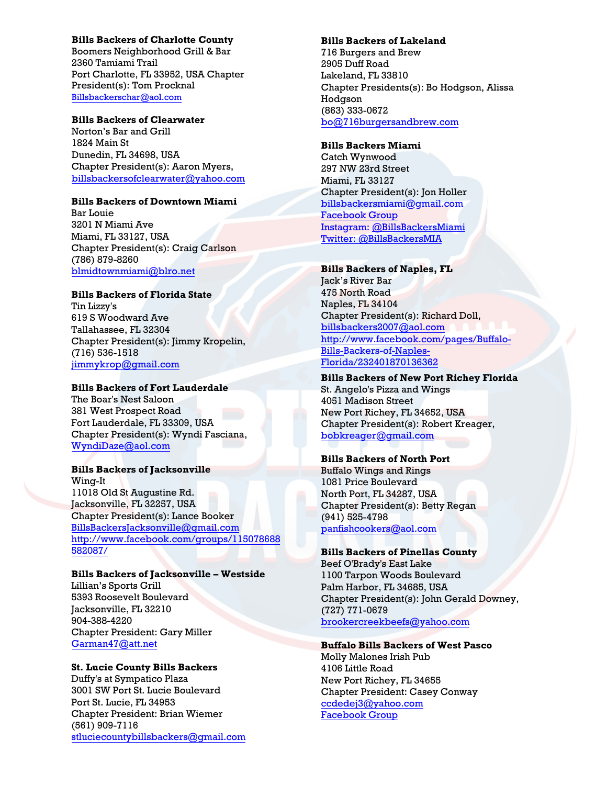### **Bills Backers of Charlotte County**

Boomers Neighborhood Grill & Bar 2360 Tamiami Trail Port Charlotte, FL 33952, USA Chapter President(s): Tom Procknal Billsbackerschar@aol.com

### **Bills Backers of Clearwater**

[Norton's Bar and Grill](https://email.nfl.net/owa/redir.aspx?C=kTNOLio7lEqy66bXibg0hi4TlT0pz9IIHVP-z3Q7cMrWWvRve8FzUX5HZLeiWT1eLQHrx_YYNGA.&URL=mailto%3aBillsbackerschar%40aol.com) 1824 Main St Dunedin, FL 34698, USA Chapter President(s): Aaron Myers, billsbackersofclearwater@yahoo.com

#### **Bills Backers of Downtown Miami**

[Bar Louie](mailto:bilsbackersofclearwater@yahoo.com)  3201 N Miami Ave Miami, FL 33127, USA Chapter President(s): Craig Carlson (786) 879-8260 blmidtownmiami@blro.net

### **Bills Backers of Florida State**

[Tin Lizzy's](mailto:blmidtownmiami@blro.net)  619 S Woodward Ave Tallahassee, FL 32304 Chapter President(s): Jimmy Kropelin, (716) 536-1518 jimmykrop@gmail.com

## **Bills Backers of Fort Lauderdale**

[The Boar's Nest Saloon](mailto:jimmykrop@gmail.com)  381 West Prospect Road Fort Lauderdale, FL 33309, USA Chapter President(s): Wyndi Fasciana, WyndiDaze@aol.com

### **Bills Backers of Jacksonville**

[Wing-It](mailto:WyndiDaze@aol.com) 11018 Old St Augustine Rd. Jacksonville, FL 32257, USA Chapter President(s): Lance Booker BillsBackersJacksonville@gmail.com http://www.facebook.com/groups/115078688 582087/

### **[Bills Backers of Jacksonville](http://www.facebook.com/groups/115078688582087/) – Westside**  [Lillian'](http://www.facebook.com/groups/115078688582087/)s Sports Grill 5393 Roosevelt Boulevard Jacksonville, FL 32210 904-388-4220 Chapter President: Gary Miller

Garman47@att.net

### **St. Lucie County Bills Backers**

[Duffy's at Sympatico](mailto:Garman47@att.net) Plaza 3001 SW Port St. Lucie Boulevard Port St. Lucie, FL 34953 Chapter President: Brian Wiemer (561) 909-7116 stluciecountybillsbackers@gmail.com

#### **Bills Backers of Lakeland**

716 Burgers and Brew 2905 Duff Road Lakeland, FL 33810 Chapter Presidents(s): Bo Hodgson, Alissa Hodgson (863) 333-0672 bo@716burgersandbrew.com

## **Bills Backers Miami**

[Catch Wynwood](mailto:bo@716burgersandbrew.com) 297 NW 23rd Street Miami, FL 33127 Chapter President(s): Jon Holler billsbackersmiami@gmail.com [Facebook Group](https://www.facebook.com/groups/BillsBackersMiami/) Instagram: [@BillsBackersMiami](https://www.instagram.com/billsbackersmiami/) [Twitter: @BillsBackersMIA](mailto:billsbackersmiami@gmail.com)

### **[Bills Back](https://www.facebook.com/groups/BillsBackersMiami/)ers of Naples, FL**

Jack's River Bar 475 North Road Naples, FL 34104 Chapter President(s): Richard Doll, billsbackers2007@aol.com http://www.facebook.com/pages/Buffalo-Bills-Backers-of-Naples-[Florida/232401870136362](mailto:billsbackers2007@aol.com)

# **[Bills Backers of New Port Richey Florida](http://www.facebook.com/pages/Buffalo-Bills-Backers-of-Naples-Florida/232401870136362)**

St. Angelo's Pizza and Wings 4051 Madison Street New Port Richey, FL 34652, USA Chapter President(s): Robert Kreager, bobkreager@gmail.com

### **[Bills Backers of North Po](mailto:bobkreager@gmail.com)rt**

Buffalo Wings and Rings 1081 Price Boulevard North Port, FL 34287, USA Chapter President(s): Betty Regan (941) 525-4798 panfishcookers@aol.com

#### **[Bills Backers of Pine](mailto:waynet425@aol.com)llas County**

Beef O'Brady's East Lake 1100 Tarpon Woods Boulevard Palm Harbor, FL 34685, USA Chapter President(s): John Gerald Downey, (727) 771-0679 brookercreekbeefs@yahoo.com

## **[Buffalo Bills Backers of West Pa](mailto:brookercreekbeefs@yahoo.com)sco**

Molly Malones Irish Pub 4106 Little Road New Port Richey, FL 34655 Chapter President: Casey Conway ccdedej3@yahoo.com [Facebook Group](https://www.facebook.com/BBBWPasco/)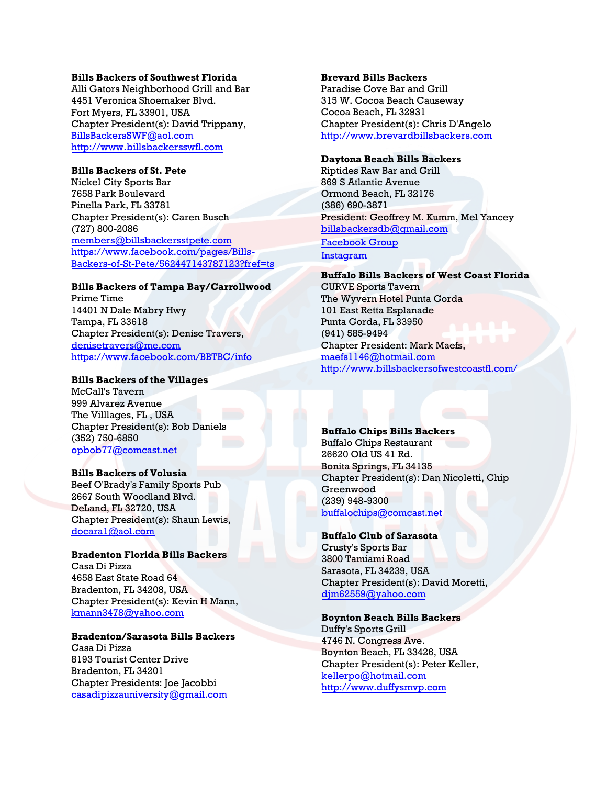#### **Bills Backers of Southwest Florida**

Alli Gators Neighborhood Grill and Bar 4451 Veronica Shoemaker Blvd. Fort Myers, FL 33901, USA Chapter President(s): David Trippany, [BillsBackersSWF@aol.com](mailto:BillsBackersSWF@aol.com) [http://www.billsbackersswfl.com](http://www.billsbackersswfl.com/)

## **Bills Backers of St. Pete**

Nickel City Sports Bar 7658 Park Boulevard Pinella Park, FL 33781 Chapter President(s): Caren Busch (727) 800-2086 [members@billsbackersstpete.com](mailto:members@billsbackersstpete.com) [https://www.facebook.com/pages/Bills-](https://www.facebook.com/pages/Bills-Backers-of-St-Pete/562447143787123?fref=ts)[Backers-of-St-Pete/562447143787123?fref=ts](https://www.facebook.com/pages/Bills-Backers-of-St-Pete/562447143787123?fref=ts)

#### **Bills Backers of Tampa Bay/Carrollwood**

Prime Time 14401 N Dale Mabry Hwy Tampa, FL 33618 Chapter President(s): Denise Travers, [denisetravers@me.com](mailto:denisetravers@me.com) <https://www.facebook.com/BBTBC/info>

#### **Bills Backers of the Villages**

McCall's Tavern 999 Alvarez Avenue The Villlages, FL , USA Chapter President(s): Bob Daniels (352) 750-6850 [opbob77@comcast.net](mailto:opbob77@comcast.net)

#### **Bills Backers of Volusia**

Beef O'Brady's Family Sports Pub 2667 South Woodland Blvd. DeLand, FL 32720, USA Chapter President(s): Shaun Lewis, [docara1@aol.com](mailto:docara1@aol.com)

#### **Bradenton Florida Bills Backers**

Casa Di Pizza 4658 East State Road 64 Bradenton, FL 34208, USA Chapter President(s): Kevin H Mann, [kmann3478@yahoo.com](mailto:kmann3478@yahoo.com)

#### **Bradenton/Sarasota Bills Backers**

Casa Di Pizza 8193 Tourist Center Drive Bradenton, FL 34201 Chapter Presidents: Joe Jacobbi [casadipizzauniversity@gmail.com](mailto:casadipizzauniversity@gmail.com)

## **Brevard Bills Backers**

Paradise Cove Bar and Grill 315 W. Cocoa Beach Causeway Cocoa Beach, FL 32931 Chapter President(s): Chris D'Angelo [http://www.brevardbillsbackers.com](http://www.brevardbillsbackers.com/)

#### **Daytona Beach Bills Backers**

Riptides Raw Bar and Grill 869 S Atlantic Avenue Ormond Beach, FL 32176 (386) 690-3871 President: Geoffrey M. Kumm, Mel Yancey [billsbackersdb@g](https://www.facebook.com/billsbackersdbfl/)[mail](mailto:actislife@hotmail.com).com Facebook Group [Instagram](https://www.instagram.com/billsbackersdaytonabeach/)

### **Buffalo Bills Backers of West Coast Florida**

CURVE Sports Tavern The Wyvern Hotel Punta Gorda 101 East Retta Esplanade Punta Gorda, FL 33950 (941) [585-9494](mailto:maefs1146@hotmail.com) [Chapter President: Mark Maefs,](http://www.billsbackersofwestcoastfl.com/) maefs1146@hotmail.com http://www.billsbackersofwestcoastfl.com/

#### **Buffalo Chips Bills Backers**

Buffalo Chips Restaurant [26620 Old US 41 Rd.](mailto:buffalochips@comcast.net)  Bonita Springs, FL 34135 Chapter President(s): Dan Nicoletti, Chip Greenwood (239) 948-9300 buffalochips@comcast.net

#### **[Buffalo Club of Saraso](mailto:djm62559@yahoo.com)ta**

Crusty's Sports Bar 3800 Tamiami Road Sarasota, FL 34239, USA Chapter President(s): David Moretti, djm62559@yahoo.com

#### **[Boynton Beach Bills B](mailto:kellerpo@hotmail.com)[acke](http://www.duffysmvp.com/)rs**

Duffy's Sports Grill 4746 N. Congress Ave. Boynton Beach, FL 33426, USA Chapter President(s): Peter Keller, kellerpo@hotmail.com http://www.duffysmvp.com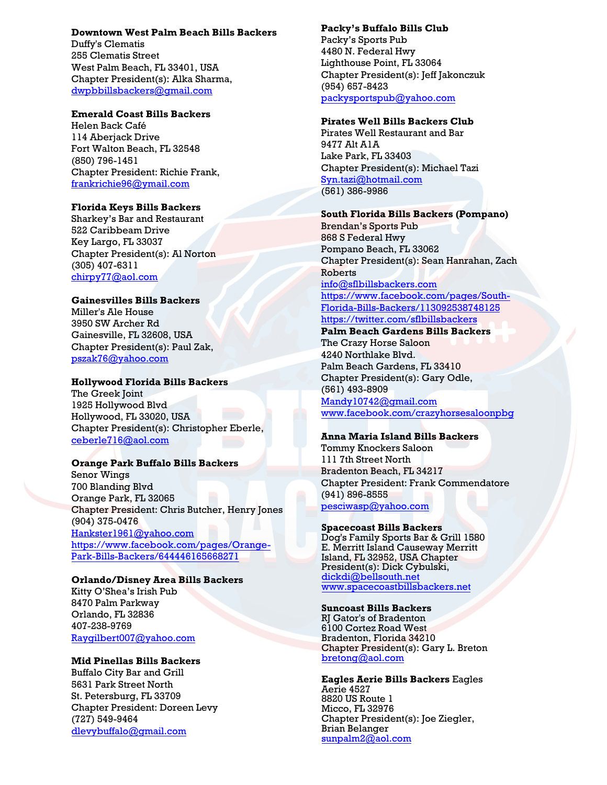## **Downtown West Palm Beach Bills Backers**

Duffy's Clematis 255 Clematis Street West Palm Beach, FL 33401, USA Chapter President(s): Alka Sharma, dwpbbillsbackers@gmail.com

## **Emerald Coast Bills Backers**

Helen Back Café 114 Aberjack Drive [Fort Walton Beach, FL 32548](mailto:dwpbbillsbackers@gmail.com) (850) 796-1451 Chapter President: Richie Frank, frankrichie96@ymail.com

## **Florida Keys Bills Backers**

Sharkey's Bar and Restaurant 522 Caribbeam Drive [Key Largo, FL](mailto:frankrichie96@ymail.com) 33037 Chapter President(s): Al Norton (305) 407-6311 chirpy77@aol.com

### **Gainesvilles Bills Backers**

Miller's Ale House 3950 SW Archer Rd [Gainesville, FL](mailto:chirpy77@aol.com) 32608, USA Chapter President(s): Paul Zak, pszak76@yahoo.com

#### **Hollywood Florida Bills Backers**

The Greek Joint 1925 Hollywood Blvd [Hollywood, FL](mailto:pszak76@yahoo.com) 33020, USA Chapter President(s): Christopher Eberle, ceberle716@aol.com

#### **Orange Park Buffalo Bills Backers**

Senor Wings 700 Blanding Blvd [Orange Park, FL 32065](mailto:ceberle716@aol.com) Chapter President: Chris Butcher, Henry Jones (904) 375-0476 Hankster1961@yahoo.com https://www.facebook.com/pages/Orange-Park-Bills-Backers/644446165668271

## **Orlando/Disney Area Bills Backers**

[Kitty O'Shea's Irish Pub](mailto:Hankster1961@yahoo.com) [8470 Palm Parkway](https://www.facebook.com/pages/Orange-Park-Bills-Backers/644446165668271)  [Orlando, FL 32836](https://www.facebook.com/pages/Orange-Park-Bills-Backers/644446165668271)  407-238-9769 Raygilbert007@yahoo.com

#### **Mid Pinellas Bills Backers**

Buffalo City Bar and Grill 5631 Park Street North [St. Petersburg, FL 33709](mailto:Raygilbert007@yahoo.com) Chapter President: Doreen Levy (727) 549-9464 dlevybuffalo@gmail.com

## **Packy's Buffalo Bills Club**

Packy's Sports Pub 4480 N. Federal Hwy Lighthouse Point, FL 33064 Chapter President(s): Jeff Jakonczuk (954) 657-8423 packysportspub@yahoo.com

#### **Pirates Well Bills Backers Club**

Pirates Well Restaurant and Bar 9477 Alt A1A [Lake Park, FL 33403](mailto:jeffjakonczuk@gmail.com)  Chapter President(s): Michael Tazi Syn.tazi@hotmail.com (561) 386-9986

## **South Florida Bills Backers (Pompano)**

Brendan's Sports Pub [868 S Federal Hwy](mailto:Syn.tazi@hotmail.com)  Pompano Beach, FL 33062 Chapter President(s): Sean Hanrahan, Zach Roberts info@sflbillsbackers.com https://www.facebook.com/pages/South-Florida-Bills-Backers/113092538748125

# https://twitter.com/sflbillsbackers

**Palm Beach Gardens Bills Backers**  [The Crazy Horse Saloon](mailto:info@sflbillsbackers.com)  [4240 Northlake Blvd.](https://www.facebook.com/pages/South-Florida-Bills-Backers/113092538748125%20 )  [Palm Beach Gardens, FL 33410](https://www.facebook.com/pages/South-Florida-Bills-Backers/113092538748125%20 ) [Chapter President\(s\): Gary Odle,](https://twitter.com/sflbillsbackers%20 )  (561) 493-8909 Mandy10742@gmail.com www.facebook.com/crazyhorsesaloonpbg

### **Anna Maria Island Bills Backers**

Tommy Knockers Saloon 111 7th Street North [Bradenton Beach, FL 34217](mailto:Mandy10742@gmail.com) [Chapter President: Frank Commendatore](http://www.facebook.com/crazyhorsesaloonpbg) (941) 896-8555 pesciwasp@yahoo.com

#### **Spacecoast Bills Backers**

Dog's Family Sports Bar & Grill 1580 E. Merritt Island Causeway Merritt Island, FL 32952, USA Chapter [President\(s\): Dick Cyb](mailto:dickdi@bellsouth.net)ulski, [dickdi@bellsouth.net](http://www.spacecoastbillsbackers.net/) www.spacecoastbillsbackers.net

#### **Suncoast Bills Backers**

RJ Gator's of Bradenton 6100 Cortez Road West Bradenton, Florida 34210 Chapter President(s): Gary L. Breton [bretong@aol.com](mailto:bretong@aol.com)

**Eagles Aerie Bills Backers** Eagles Aerie 4527 8820 US Route 1 Micco, FL 32976 Chapter President(s): Joe Ziegler, Brian Belanger sunpalm2@aol.com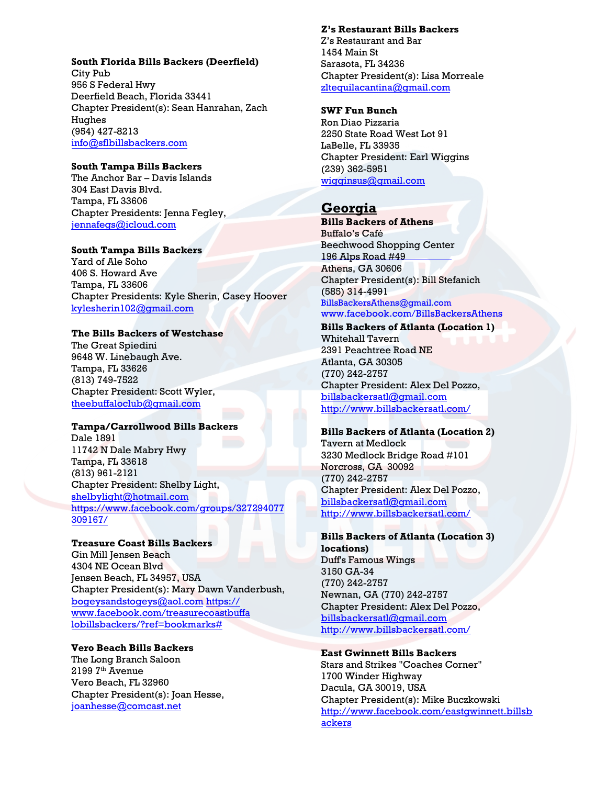#### **South Florida Bills Backers (Deerfield)**

City Pub 956 S Federal Hwy Deerfield Beach, Florida 33441 Chapter President(s): Sean Hanrahan, Zach Hughes (954) 427-8213 info@sflbillsbackers.com

# **[South Tampa Bills Backe](mailto:info@sflbillsbackers.com)rs**

The Anchor Bar – Davis Islands 304 East Davis Blvd. Tampa, FL 33606 Chapter Presidents: Jenna Fegley, jennafegs@icloud.com

### **[South Tampa Bills Bac](mailto:jennafegs@icloud.com)kers**

Yard of Ale Soho 406 S. Howard Ave Tampa, FL 33606 Chapter Presidents: Kyle Sherin, Casey Hoover billsbackersouthtampa@gmail.com

# **[The Bills Backers of Westch](mailto:theebuffaloclub@gmail.com)ase**

The Great Spiedini 9648 W. Linebaugh Ave. Tampa, FL 33626 (813) 749-7522 Chapter President: Scott Wyler, theebuffaloclub@gmail.com

### **[Tampa/Carrollwood Bills](mailto:shelbylight@hotmail.com) Backers**

[Dale 1891](https://www.facebook.com/groups/327294077309167/)  [11742 N](https://www.facebook.com/groups/327294077309167/) Dale Mabry Hwy Tampa, FL 33618 (813) 961-2121 Chapter President: Shelby Light, shelbylight@hotmail.com https://www.facebook.com/groups/327294077 309167/

# **[Treasure Coast Bills Backers](https://www.facebook.com/treasurecoastbuffalobillsbackers/?ref=bookmarks)**

[Gin Mill Jensen Beach](https://www.facebook.com/treasurecoastbuffalobillsbackers/?ref=bookmarks)  4304 NE Ocean Blvd Jensen Beach, FL 34957, USA Chapter President(s): Mary Dawn Vanderbush, bogeysandstogeys@aol.com https:// www.facebook.com/treasurecoastbuffa lobillsbackers/?ref=bookmarks#

## **[Vero Beach Bills Backer](mailto:joanhesse@comcast.net)s**

The Long Branch Saloon 2199 7<sup>th</sup> Avenue Vero Beach, FL 32960 Chapter President(s): Joan Hesse, joanhesse@comcast.net

**Z's Restaurant Bills Backers**  Z's Restaurant and Bar 1454 Main St Sarasota, FL 34236 Chapter President(s): Lisa Morreale zltequilacantina@gmail.com

## **SWF Fun Bunch**

Ron Diao Pizzaria [2250 State Road West Lot 91](mailto:zltequilacantina@gmail.com) LaBelle, FL 33935 Chapter President: Earl Wiggins (239) 362-5951 wigginsus@gmail.com

# **Georgia**

**Bills Backers of Athens**  Buffalo's Café Beechwood Shopping Center [196 Alps Road #49](mailto:BillsBackersAthens@gmail.com)  [Athens, GA 30606](http://www.facebook.com/BillsBackersAthens)  Chapter President(s): Bill Stefanich (585) 314-4991 BillsBackersAthens@gmail.com www.facebook.com/BillsBackersAthens

**Bills Backers of Atlanta (Location 1)** Whitehall Tavern 2391 Peachtree Road NE [Atlanta, GA 30305](mailto:billsbackersatl@gmail.com) [\(770\) 242-2757](http://www.billsbackersatl.com/) Chapter President: Alex Del Pozzo, billsbackersatl@gmail.com http://www.billsbackersatl.com/

### **Bills Backers of Atlanta (Location 2)**

Tavern at Medlock 3230 Medlock Bridge Road #101 [Norcross, GA 30092](mailto:billsbackersatl@gmail.com)  [\(770\) 242-2757](http://www.billsbackersatl.com/) Chapter President: Alex Del Pozzo, billsbackersatl@gmail.com http://www.billsbackersatl.com/

# **Bills Backers of Atlanta (Location 3)**

**locations)**  Duff's Famous Wings 3150 GA-34 [\(770\) 242-2757](mailto:billsbackersatl@gmail.com) [Newnan, GA \(770\) 242-2757](http://www.billsbackersatl.com/) Chapter President: Alex Del Pozzo, billsbackersatl@gmail.com http://www.billsbackersatl.com/

## **East Gwinnett Bills Backers**

Stars and Strikes "Coaches Corner" [1700 Winder Highway](http://www.facebook.com/eastgwinnett.billsbackers)  [Dacula,](http://www.facebook.com/eastgwinnett.billsbackers) GA 30019, USA Chapter President(s): Mike Buczkowski http://www.facebook.com/eastgwinnett.billsb ackers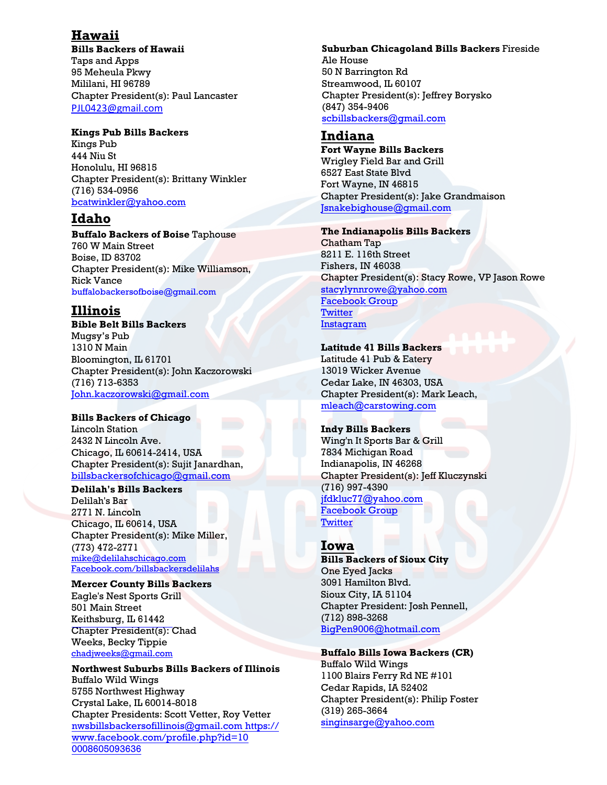# **Hawaii**

**Bills Backers of Hawaii** Taps and Apps 95 Meheula Pkwy Mililani, HI 96789 Chapter President(s): Paul Lancaster PJL0423@gmail.com

## **Kings Pub Bills Backers**

Kings Pub 444 Niu St [Honolulu, HI 96815](mailto:PJL0423@gmail.com)  Chapter President(s): Brittany Winkler (716) 534-0956 bcatwinkler@yahoo.com

# **Idaho**

**Buffalo Backers of Boise** Taphouse [760 W Main Street](mailto:bcatwinkler@yahoo.com) Boise, ID 83702 Chapter President(s): Mike Williamson, Rick Vance buffalobackersofboise@gmail.com

# **Illinois**

**Bible Belt Bills Backers**  Mugsy's Pub 1310 N Main [Bloomington, IL 61701](mailto:John.kaczorowski@gmail.com)  Chapter President(s): John Kaczorowski (716) 713-6353 John.kaczorowski@gmail.com

## **Bills Backers of Chicago**

Lincoln Station [2432 N Lincoln Ave.](mailto:billsbackersofchicago@gmail.com)  Chicago, IL 60614-2414, USA Chapter President(s): Sujit Janardhan, billsbackersofchicago@gmail.com

### **Delilah's Bills Backers**

Delilah's Bar 2771 N. Lincoln Chicago, IL 60614, USA [Chapter President\(s\): Mike Miller](https://email.nfl.net/owa/redir.aspx?C=kTNOLio7lEqy66bXibg0hi4TlT0pz9IIHVP-z3Q7cMrWWvRve8FzUX5HZLeiWT1eLQHrx_YYNGA.&URL=http%3a%2f%2fFacebook.com%2fbillsbackersdelilahs), (773) 472-2771 mike@delilahschicago.com Facebook.com/billsbackersdelilahs

### **Mercer County Bills Backers**

Eagle's Nest Sports Grill 501 Main Street [Keithsburg, IL 61442](mailto:nwsbillsbackersofillinois@gmail.com) [Chapter President\(s\):](https://www.facebook.com/profile.php?id=100008605093636%20 ) Chad [Weeks, Becky Tip](https://www.facebook.com/profile.php?id=100008605093636%20 )pie chadjweeks@gmail.com

**Northwest Suburbs Bills Backers of Illinois**  Buffalo Wild Wings 5755 Northwest Highway Crystal Lake, IL 60014-8018 Chapter Presidents: Scott Vetter, Roy Vetter nwsbillsbackersofillinois@gmail.com https:// www.facebook.com/profile.php?id=10 0008605093636

## **Suburban Chicagoland Bills Backers** Fireside

Ale House 50 N Barrington Rd Streamwood, IL 60107 Chapter President(s): Jeffrey Borysko (847) 354-9406 scbillsbackers@gmail.com

# **Indiana**

**[Fort Wayne Bills Backers](mailto:scbillsbackers@gmail.com)**  Wrigley Field Bar and Grill 6527 East State Blvd Fort Wayne, IN 46815 Chapter President(s): Jake Grandmaison Jsnakebighouse@gmail.com

### **The Indianapolis Bills Backers**

Chatham Tap [8211 E. 116th Street](mailto:Jsnakebighouse@gmail.com) Fishers, IN 46038 Chapter President(s): Stacy Rowe, VP Jason Rowe stacylynnrowe@yahoo.com [Facebook Group](https://www.facebook.com/groups/indianapolisbillsbackers/) **[Twitter](https://twitter.com/IndBillsBackers)** [Instagram](https://www.instagram.com/indianapolisbillsbackers/)

## **[Latitude 41 Bills Backers](https://www.facebook.com/groups/indianapolisbillsbackers/)**

[Latitude 41 Pub &](https://www.facebook.com/groups/indianapolisbillsbackers/) Eatery 13019 Wicker Avenue Cedar Lake, IN 46303, USA Chapter President(s): Mark Leach, mleach@carstowing.com

## **Indy Bills Backers**

[Wing'n It Sports Bar & Gril](mailto:mleach@carstowing.com)l 7834 Michigan Road Indianapolis, IN 46268 Chapter President(s): Jeff Kluczynski (716) 997-4390 jfdkluc77@yahoo.com [Facebook Group](https://m.facebook.com/groups/1973719432700118) **[Twitter](https://twitter.com/IndyBillsBacker)** 

# **[Iowa](mailto:BigPen9006@hotmail.com)**

**Bills Backers of Sioux City**  One Eyed Jacks 3091 Hamilton Blvd. Sioux City, IA 51104 Chapter President: Josh Pennell, (712) 898-3268 BigPen9006@hotmail.com

## **[Buffalo Bills Iowa Backe](mailto:singinsarge@yahoo.com)rs (CR)**

Buffalo Wild Wings 1100 Blairs Ferry Rd NE #101 Cedar Rapids, IA 52402 Chapter President(s): Philip Foster (319) 265-3664 singinsarge@yahoo.com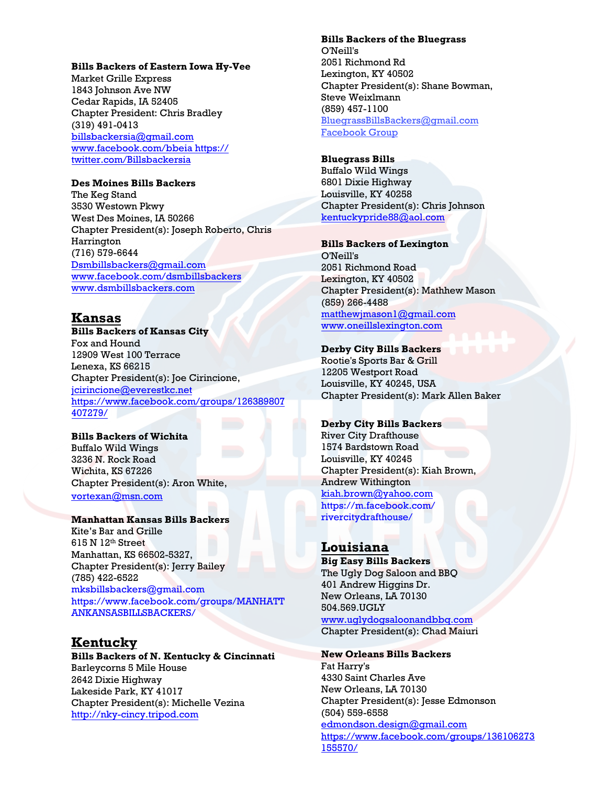#### **Bills Backers of Eastern Iowa Hy-Vee**

Market Grille Express 1843 Johnson Ave NW Cedar Rapids, IA 52405 Chapter President: Chris Bradley (319) 491-0413 billsbackersia@gmail.com www.facebook.com/bbeia https:// [twitter.com/Billsbackersia](mailto:Dsmbillsbackers@gmail.com)

### **[Des Moines Bills Backers](https://email.nfl.net/owa/redir.aspx?C=rpsOUhBvQ0iyHCUeA86arK4fX-9-79IIiuLvwBJk4IC0LD_T1kJsfBzpBBIjF2MYBtsZ6PaDOoo.&URL=http%3a%2f%2fwebdefence.global.blackspider.com%2furlwrap%2f%3fq%3dAXicY3BmeC7AwFAty8BQlFNpYJ6uV1xUppebmJmTnJ9XUpSfo5ecn8tQ4mjkE-HuW2hgZG5sacGQlJmTU5yUmJydWlTsAObo5aXl6OWlljBklJQUWOnrl5eX66UU5yIrBBsEAQCQciVE%26Z)**

The Keg Stand 3530 Westown Pkwy West Des Moines, IA 50266 Chapter President(s): Joseph Roberto, Chris Harrington (716) 579-6644 Dsmbillsbackers@gmail.com www.facebook.com/dsmbillsbackers [www.dsmbillsbackers.com](mailto:jcirincione@everestkc.net)

# **[Kansa](https://www.facebook.com/groups/126389807407279/)s**

**Bills Backers of Kansas City**  Fox and Hound 12909 West 100 Terrace Lenexa, KS 66215 Chapter President(s): Joe Cirincione, [jcirincione@everestk](mailto:vortexan@msn.com)c.net https://www.facebook.com/groups/126389807 407279/

# **Bills Backers of Wichita**

Buffalo Wild Wings 3236 N. Rock Road Wichita, KS 67226 [Chapter President\(s\): Aron Wh](mailto:mksbillsbackers@gmail.com)ite, [vortexan@msn.com](https://www.facebook.com/groups/MANHATTANKANSASBILLSBACKERS/)

#### **Manhattan Kansas Bills Backers**

Kite's Bar and Grille 615 N 12th Street Manhattan, KS 66502-5327, Chapter President(s): Jerry Bailey (785) 422-6522 mksbillsbackers@gmail.com [https://www.facebook.com/g](http://nky-cincy.tripod.com/)roups/MANHATT ANKANSASBILLSBACKERS/

# **Kentucky**

**Bills Backers of N. Kentucky & Cincinnati**  Barleycorns 5 Mile House 2642 Dixie Highway Lakeside Park, KY 41017 Chapter President(s): Michelle Vezina http://nky-cincy.tripod.com (504) 559-6558

#### **Bills Backers of the Bluegrass**

O'Neill's 2051 Richmond Rd Lexington, KY 40502 Chapter President(s): Shane Bowman, Steve Weixlmann (859) 457-1100 BluegrassBillsBackers@gmail.com [Facebook Group](https://www.facebook.com/pages/Bills-Backers-of-the-Bluegrass/722749394496152)

## **B[luegrass Bills](https://email.nfl.net/owa/redir.aspx?C=Rxhy1ZAfxEO74ttgsyVZ9foGdIoZudIIs6LKeR42PcXiwU3uEbjRYeekw2Ylown1kQ1Fn_3kR40.&URL=mailto%3aBluegrassBillsBackers%40gmail.com)**

[Buffalo Wild Wings](https://www.facebook.com/pages/Bills-Backers-of-the-Bluegrass/722749394496152) [6801 Dixie Highway](https://www.facebook.com/pages/Bills-Backers-of-the-Bluegrass/722749394496152) Louisville, KY 40258 Chapter President(s): Chris Johnson kentuckypride88@aol.com

# **Bills Backers of Lexington**

O'Neill's 2051 Richmond Road [Lexington, KY 40502](mailto:matthewjmason1@gmail.com)  [Chapter President\(s\): Mathh](http://www.oneillslexington.com/)ew Mason (859) 266-4488 matthewjmason1@gmail.com www.oneillslexington.com

## **Derby City Bills Backers**

Rootie's Sports Bar & Grill 12205 Westport Road Louisville, KY 40245, USA Chapter President(s): Mark Allen Baker

#### **Derby City Bills Backers**

River City Drafthouse 1574 Bardstown Road [Louisville, KY 40245](https://email.nfl.net/owa/redir.aspx?C=b998df222c4c453dba172e5bb27da2ab&URL=http%3a%2f%2fwebdefence.global.blackspider.com%2furlwrap%2f%3fq%3dAXicY2BmeC7AwFAty8BQlFNpbJquV1xUppebmJmTnJ9XUpSfo5ecn8tQYm5hFFFQamRgbGZpZMiQlJmTU5yUmJydWlTsAObo5aXl6OWlljBklJQUWOnrl5eX65Wm51Sm5KcXJ-bk5-cl5qUkJRWCDYMAABWEJqs%26Z) Chapter President(s): Kiah Brown, Andrew Withington kiah.brown@yahoo.com https://m.facebook.com/ rivercitydrafthouse/

# **Louisiana**

**[Big Easy Bills Backers](mailto:edmondson.design@gmail.com)**  [The Ugly Dog Saloon and BBQ](https://www.facebook.com/groups/136106273155570/)  [401 Andr](https://www.facebook.com/groups/136106273155570/)ew Higgins Dr. New Orleans, LA 70130 504.569.UGLY www.uglydogsaloonandbbq.com Chapter President(s): Chad Maiuri

# **New Orleans Bills Backers**

edmondson.design@gmail.com https://www.facebook.com/groups/136106273 155570/ Fat Harry's 4330 Saint Charles Ave New Orleans, LA 70130 Chapter President(s): Jesse Edmonson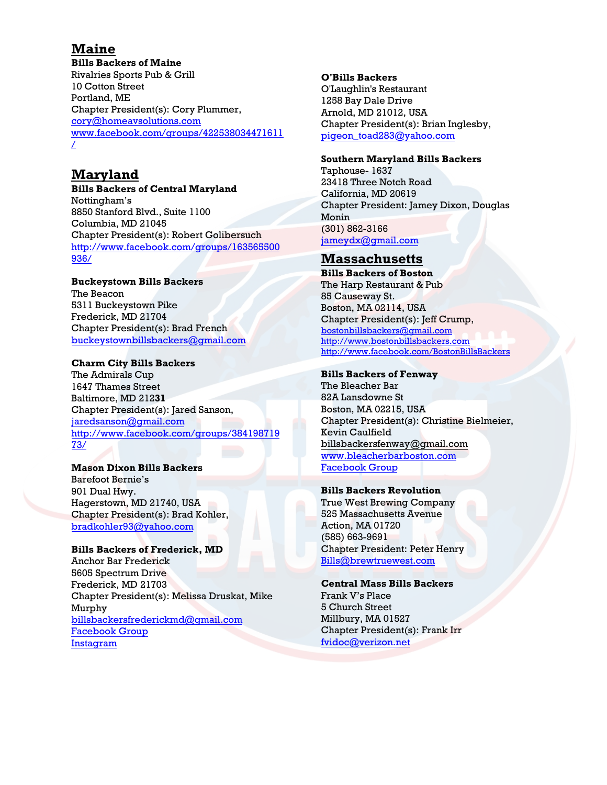# **Maine**

**Bills Backers of Maine**  Rivalries Sports Pub & Grill 10 Cotton Street Portland, ME Chapter President(s): Cory Plummer, cory@homeavsolutions.com www.facebook.com/groups/422538034471611 [/](mailto:cory@homeavsolutions.com) 

# **[Maryland](http://www.facebook.com/groups/422538034471611/)**

**Bills Backers of Central Maryland**  Nottingham's 8850 Stanford Blvd., Suite 1100 Columbia, MD 21045 Chapter President(s): Robert Golibersuch http://www.facebook.com/groups/163565500 936/

#### **[Buckeystown Bills](mailto:jj10@atlanticbb.net) Backers**  The Beacon 5311 Buckeystown Pike

Frederick, MD 21704 Chapter President(s): Brad French buckeystownbillsbackers@gmail.com

## **[Charm City Bills Backers](http://www.facebook.com/groups/163565500936/)**

[The A](http://www.facebook.com/groups/163565500936/)dmirals Cup 1647 Thames Street Baltimore, MD 212**31** Chapter President(s): Jared Sanson, jaredsanson@gmail.com http://www.facebook.com/groups/384198719 [73/](mailto:buckeystownbillsbackers@gmail.com)

# **Mason Dixon Bills Backers**

Barefoot Bernie's 901 Dual Hwy. Hagerstown, MD 21740, USA Chapter President(s): Brad Kohler, [bradkohler93@yahoo.com](mailto:ccbillsbackers@gmail.com)

## **[Bills Backers of Frederick, MD](http://www.facebook.com/groups/38419871973/)**

[Anc](http://www.facebook.com/groups/38419871973/)hor Bar Frederick 5605 Spectrum Drive Frederick, MD 21703 Chapter President(s): Melissa Druskat, Mike Murphy billsbackersfrederickmd@gmail.com [Facebook Group](https://www.facebook.com/groups/frederickbillsbackers) [Instagram](https://www.instagram.com/billsbackersfrederickmd/)

## **O'Bills Backers**

O'Laughlin's Restaurant 1258 Bay Dale Drive Arnold, MD 21012, USA Chapter President(s): Brian Inglesby, [pigeon\\_toad283@yahoo.com](mailto:pigeon_toad283@yahoo.com)

## **Southern Maryland Bills Backers**

Taphouse- 1637 23418 Three Notch Road California, MD 20619 Chapter President: Jamey Dixon, Douglas Monin (301) [862-3166](mailto:jackets_92@yahoo.com) jameydx@gmail.com

# **Massachusetts**

**Bills Backers of Boston** The Harp Restaurant & Pub 85 Causeway St. Boston, MA 02114, USA Chapter President(s): Jeff Crump, [bostonbillsbackers@gmail.com](https://email.nfl.net/owa/redir.aspx?C=kTNOLio7lEqy66bXibg0hi4TlT0pz9IIHVP-z3Q7cMrWWvRve8FzUX5HZLeiWT1eLQHrx_YYNGA.&URL=mailto%3abostonbillsbackers%40gmail.com) [http://www.bostonbillsbackers.com](http://www.bostonbillsbackers.com/) <http://www.facebook.com/BostonBillsBackers>

## **Bills Backers of Fenway**

The Bleacher Bar 82A Lansdowne St Boston, MA 02215, USA Chapter President(s): Christine Bielmeier, [Kevin Caulfield](mailto:Billsbackersoffenwaydoitbetter@gmail.com) [billsbackersfenway@gmail.co](http://www.bleacherbarboston.com/)m [www.bleacherbarboston.com](http://www.facebook.com/groups/190390600967/)  [Facebook Group](http://www.facebook.com/groups/190390600967/)

## **Bills Backers Revolution**

True West Brewing Company 525 Massachusetts Avenue Action, MA 01720 (585) 663-9691 Chapter President: Peter Henry [Bills@brewtruewest.com](mailto:Bills@brewtruewest.com)

## **Central Mass Bills Backers**

Frank V's Place 5 Church Street Millbury, MA 01527 Chapter President(s): Frank Irr [fvidoc@verizon.net](mailto:fvidoc@verizon.net)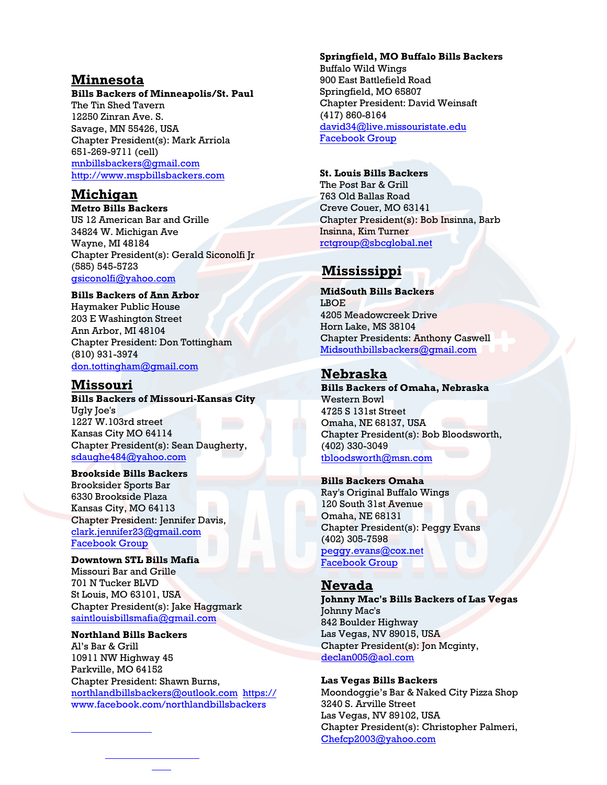# **Minnesota**

#### **Bills Backers of Minneapolis/St. Paul**

The Tin Shed Tavern 12250 Zinran Ave. S. Savage, MN 55426, USA Chapter President(s): Mark Arriola 651-269-9711 (cell) [mnbillsbackers@gm](mailto:marriola@visi.com)ail.com [http://www.mspbillsbackers.com](http://www.mspbillsbackers.com/)

# **Michigan**

**Metro Bills Backers**  US 12 American Bar and Grille 34824 W. Michigan Ave Wayne, MI 48184 Chapter President(s): Gerald Siconolfi Jr (585) 545-5723 gsiconolfi@yahoo.com

**[Bills Backers of Ann Ar](mailto:stickrebel@yahoo.com)bor**  Haymaker Public House 203 E Washington Street Ann Arbor, MI 48104 Chapter President: Don Tottingham (810) 931-3974 don.tottingham@gmail.com

# **[Missouri](mailto:sdaughe484@yahoo.com)**

**Bills Backers of Missouri-Kansas City**  Ugly Joe's 1227 W.103rd street Kansas City MO 64114 Chapter President(s): Sean Daugherty, [sdaughe484@yahoo.com](mailto:clark.jennifer23@gmail.com)

**[Brookside Bills Backers](https://m.facebook.com/groups/1937913939758503?ref=bookmarks)**  [Brooksider Sports Bar](https://m.facebook.com/groups/1937913939758503?ref=bookmarks)  6330 Brookside Plaza Kansas City, MO 64113 Chapter President: Jennifer Davis, clark.jennifer23@gmail.com [Facebook Group](https://m.facebook.com/groups/1937913939758503?ref=bookmarks)

**[Downtown STL Bills Mafia](mailto:saintlouisbillsmafia@gmail.com)**  Missouri Bar and Grille 701 N Tucker BLVD St Louis, MO 63101, USA Chapter President(s): Jake Haggmark saintlouisbillsmafia@gmail.com

#### **Northland Bills Backers**

[Al's Bar & Grill](mailto:Midsouthbillsbackers@gmail.com)  10911 NW Highway 45 Parkville, MO 64152 Chapter President: Shawn Burns, [northlandbillsbackers@outlook.com https://](https://www.facebook.com/northlandbillsbackers) www.facebook.com/northlandbillsbackers

#### **Springfield, MO Buffalo Bills Backers**

Buffalo Wild Wings 900 East Battlefield Road Springfield, MO 65807 Chapter President: David Weinsaft (417) 860-8164 david34@live.missouristate.edu [Facebook Group](https://www.facebook.com/Springfield-MO-Buffalo-Bills-Backers-650841505289555/?modal=admin_todo_tour)

#### **St. Louis Bills Backers**

The Post Bar & Grill 763 Old Ballas Road Creve Couer, MO 63141 Chapter President(s): Bob Insinna, Barb Insinna, Kim Turner [rctgroup@sbcglobal.net](mailto:pateaston621@yahoo.com)

# **Miss[issippi](https://www.facebook.com/pages/Buffalo-Bills-Backers-Saint-Louis/272305412796017)**

**MidSouth Bills Backers**  LBOE 4205 Meadowcreek Drive Horn Lake, MS 38104 Chapter Presidents: Anthony Caswell Midsouthbillsbackers@gmail.com

# **Nebraska**

**[Bills Backers of Omaha](mailto:tbloodsworth@msn.com), Nebraska**  Western Bowl 4725 S 131st Street Omaha, NE 68137, USA Chapter President(s): Bob Bloodsworth, (402) 330-3049 tbloodsworth@msn.com

#### **[Bills Backer](mailto:peggy.evans@cox.net)s Omaha**

Ray's Original Buffalo Wings 120 South 31st Avenue Omaha, NE 68131 Chapter President(s): Peggy Evans (402) 305-7598

peggy.evans@cox.net [Facebook Group](https://www.facebook.com/billsbackersnebraska/?fb_dtsg_ag=AdxJbw9P8UzWpQ7kRvDEkOUniY7eDAojkX51yCZtkBdMTw:Adw9t-ypc-O4Zus5TT-MmrczXWOpsf8kXg8GJdT5kKfMaw)

# **[Nevada](mailto:declan005@aol.com)**

**Johnny Mac's Bills Backers of Las Vegas**  Johnny Mac's 842 Boulder Highway Las Vegas, NV 89015, USA Chapter President(s): Jon Mcginty, [declan005@aol.com](mailto:Chefcp2003@yahoo.com) 

## **Las Vegas Bills Backers**

Moondoggie's Bar & Naked City Pizza Shop 3240 S. Arville Street Las Vegas, NV 89102, USA Chapter President(s): Christopher Palmeri, Chefcp2003@yahoo.com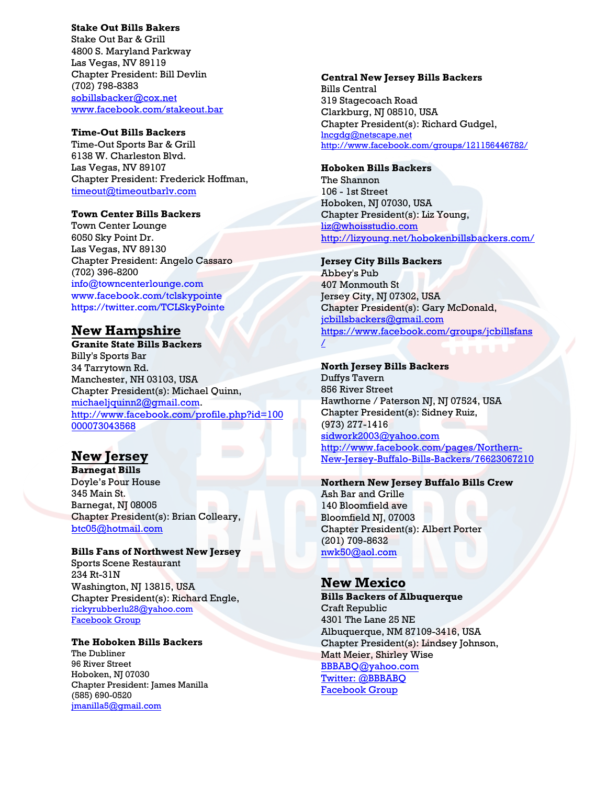#### **Stake Out Bills Bakers**

Stake Out Bar & Grill 4800 S. Maryland Parkway Las Vegas, NV 89119 Chapter President: Bill Devlin (702) 798-8383 sobillsbacker@cox.net www.facebook.com/stakeout.bar

#### **Time-Out Bills Backers**

[Time-Out Sports Bar & G](mailto:sobillsbacker@cox.net)rill [6138 W. Charleston Blvd.](http://www.facebook.com/stakeout.bar)  Las Vegas, NV 89107 Chapter President: Frederick Hoffman, timeout@timeoutbarlv.com

### **Town Center Bills Backers**

Town Center Lounge [6050 Sky Point Dr.](mailto:timeout@timeoutbarlv.com)  Las Vegas, NV 89130 Chapter President: Angelo Cassaro (702) 396-8200 info@towncenterlounge.com www.facebook.com/tclskypointe https://twitter.com/TCLSkyPointe

# **[New Hampshire](mailto:indo@towncenterlounge.com)**

**[Granite State Bills Backers](http://www.facebook.com/tclskypointe)**  [Billy's Sports Bar](https://twitter.com/TCLSkyPointe)  34 Tarrytown Rd. Manchester, NH 03103, USA Chapter President(s): Michael Quinn, michaeljquinn2@gmail.com. http://www.facebook.com/profile.php?id=100 000073043568

# **[New Jersey](mailto:michaeljquinn2@gmail.com)**

**[Barnegat Bills](http://www.facebook.com/profile.php?id=100000073043568)**  [Doyle's Pour H](http://www.facebook.com/profile.php?id=100000073043568)ouse 345 Main St. Barnegat, NJ 08005 Chapter President(s): Brian Colleary, btc05@hotmail.com

### **Bills Fans of Northwest New Jersey**

Sports Scene Restaurant 234 Rt-31N [Washington, NJ](mailto:btc05@hotmail.com) 13815, USA Chapter President(s): Richard Engle, rickyrubberlu28@yahoo.com Facebook Group

## **[The Hoboken Bills Backers](http://www.facebook.com/pages/Northern-New-Jersey-Buffalo-Bills-Backers/76623067210)**

The Dubliner [96 River Street](mailto:rickyrubberlu28@yahoo.com) [Hoboken, NJ 07030](http://www.facebook.com/pages/Northern-New-Jersey-Buffalo-Bills-Backers/76623067210) [Chapter President: James Manilla](http://www.facebook.com/pages/Northern-New-Jersey-Buffalo-Bills-Backers/76623067210) (585) 690-0520 jmanilla5@gmail.com

#### **Central New Jersey Bills Backers**

Bills Central 319 Stagecoach Road Clarkburg, NJ 08510, USA Chapter President(s): Richard Gudgel, [lncgdg@netscape.net](mailto:lncgdg@netscape.net) <http://www.facebook.com/groups/121156446782/>

### **Hoboken Bills Backers**

The Shannon 106 - 1st Street Hoboken, NJ 07030, USA Chapter President(s): Liz Young, [liz@whoisstudio.com](mailto:liz@whoisstudio.com) <http://lizyoung.net/hobokenbillsbackers.com/>

### **Jersey City Bills Backers**

Abbey's Pub 407 Monmouth St Jersey City, NJ 07302, USA Chapter President(s): Gary McDonald, [jcbillsbackers@gmail.com](mailto:jcbillsbackers@gmail.com) [https://www.facebook.com/groups/jcbillsfans](https://www.facebook.com/groups/jcbillsfans/)  $\sqrt{2}$ 

## **North Jersey Bills Backers**

Duffys Tavern 856 River Street Hawthorne / Paterson NJ, NJ 07524, USA Chapter President(s): Sidney Ruiz, (973) 277-1416 [sidwork2003@yahoo.com](mailto:sidwork2003@yahoo.com) [http://www.facebook.com/pages/Northern-](http://www.facebook.com/pages/Northern-New-Jersey-Buffalo-Bills-Backers/76623067210)[New-Jersey-Buffalo-Bills-Backers/76623067210](http://www.facebook.com/pages/Northern-New-Jersey-Buffalo-Bills-Backers/76623067210)

#### **Northern New Jersey Buffalo Bills Crew**

Ash Bar and Grille 140 Bloomfield ave Bloomfield NJ, 07003 Chapter President(s): Albert Porter (201) 709-8632 [nwk50@aol.com](mailto:nwk50@aol.com)

## **New Mexico**

**Bills Backers of Albuquerque**  Craft Republic 4301 The Lane 25 NE Albuquerque, NM 87109-3416, USA Chapter President(s): Lindsey Johnson, [Matt Meier, Shirley Wi](mailto:BBBABQ@yahoo.com)se [BBBABQ@yahoo.com](https://twitter.com/BBBABQ)  [Twitter: @BBBABQ](http://www.facebook.com/pages/Buffalo-Bills-Backers-Albuquerque/291735110852545)  [Facebook Group](http://www.facebook.com/pages/Buffalo-Bills-Backers-Albuquerque/291735110852545)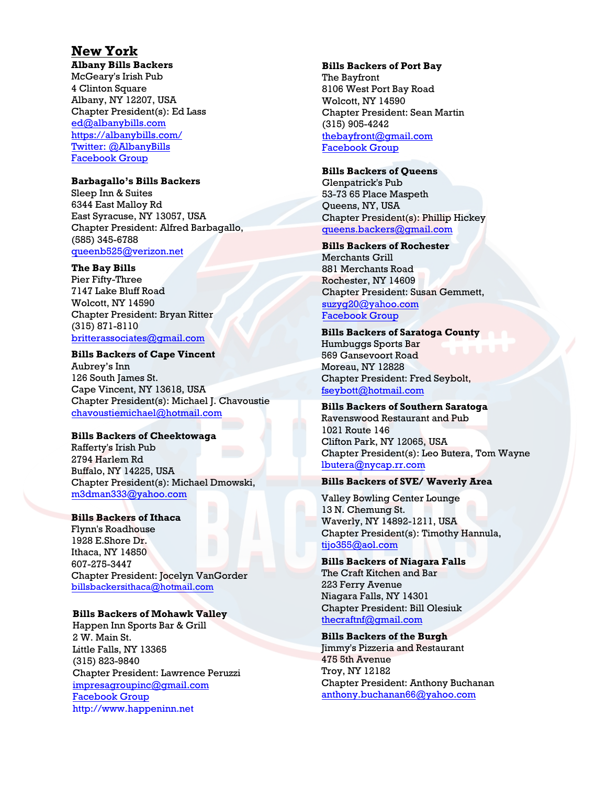# **New York**

**Albany Bills Backers**  McGeary's Irish Pub 4 Clinton Square Albany, NY 12207, USA Chapter President(s): Ed Lass ed@albanybills.com https://albanybills.com/ [Twitter: @AlbanyBills](https://twitter.com/AlbanyBills) [Facebook Group](http://www.facebook.com/AlbanyBills)

## **[Barbagallo's Bills Backers](http://www.facebook.com/AlbanyBills)**

Sleep Inn & Suites 6344 East Malloy Rd East Syracuse, NY 13057, USA Chapter President: Alfred Barbagallo, (585) 345-6788 queenb525@verizon.net

## **The Bay Bills**

[Pier Fifty-Three](mailto:queenb525@verizon.net) 7147 Lake Bluff Road Wolcott, NY 14590 Chapter President: Bryan Ritter (315) 871-8110 britterassociates@gmail.com

## **Bills Backers of Cape Vincent**

Aubrey's Inn [126 South James St.](mailto:billsbackersbatavia@gmail.com)  [Cape Vincent, NY](http://www.facebook.com/bataviabillsbackers) 13618, USA [Chapter President\(s\): Michael J.](https://twitter.com/BataviaBills) Chavoustie chavoustiemichael@hotmail.com

## **Bills Backers of Cheektowaga**

Rafferty's Irish Pub 2794 Harlem Rd Buffalo, NY 14225, USA [Chapter President\(s\): Michael Dm](mailto:chavoustiemichael@hotmail.com)owski, m3dman333@yahoo.com

### **Bills Backers of Ithaca**

Flynn's Roadhouse 1928 E.Shore Dr. [Ithaca, NY 14850](mailto:m3dman333@yahoo.com)  607-275-3447 Chapter President: Jocelyn VanGorder billsbackersithaca@hotmail.com

## **Bills Backers of Mohawk Valley**

Happen Inn Sports Bar & Grill 2 W. Main St. [Little Falls, NY 13365](mailto:billsbackersithaca@hotmail.com)  (315) 823-9840 Chapter President: Lawrence Peruzzi impresagroupinc@gmail.com [Facebook Group](https://www.facebook.com/thehappeninn) http://www.happeninn.net

### **Bills Backers of Port Bay**

The Bayfront 8106 West Port Bay Road Wolcott, NY 14590 Chapter President: Sean Martin (315) 905-4242 thebayfront@gmail.com [Facebook Grou](https://www.facebook.com/everythingsbetteratthebay/)[p](mailto:impresagroupinc@gmail.com)

## **[Bills Backers of Queens](http://www.happeninn.net/)**

Glenpatrick's Pub 53-73 65 Place Maspeth Queens, NY, USA Chapter President(s): Phillip Hickey queens.backers@gmail.com

## **Bills Backers of Rochester**

Merchants Grill [881 Merchants Road](mailto:hvbillsbackers@gmail.com) Rochester, NY 14609 Chapter President: Susan Gemmett, suzyg20@yahoo.com [Facebook Group](https://www.facebook.com/groups/116056304312/)

### **Bills Backers of Saratoga County**

[Humbuggs Sports Bar](mailto:queens.backers@gmail.com)  569 Gansevoort Road Moreau, NY 12828 Chapter President: Fred Seybolt, fseybott@hotmail.com

## **Bills Backers of Southern Saratoga**

Ravenswood Restaurant and Pub 1021 Route 146 [Clifton Park, NY](mailto:suzyg20@yahoo.com) 12065, USA [Chapter President\(s\): Leo Butera, Tom Wayne](https://www.facebook.com/groups/116056304312/)  [lbute](https://www.facebook.com/groups/116056304312/)ra@nycap.rr.com

### **Bills Backers of SVE/ Waverly Area**

Valley Bowling Center Lounge 13 N. Chemung St. Waverly, NY 14892-1211, USA Chapter President(s): Timothy Hannula, [tijo355@aol.com](mailto:fseybott@hotmail.com)

#### **Bills Backers of Niagara Falls** The Craft Kitchen and Bar 223 Ferry Avenue Niagara Falls, NY 14301 Chapter President: Bill Olesiuk [thecraftnf@gmail.com](mailto:lbutera@nycap.rr.com)

**Bills Backers of the Burgh** Jimmy's Pizzeria and Restaurant 475 5th Avenue Troy, NY 12182 Chapter President: Anthony Buchanan [anthony.buchanan](mailto:tijo355@aol.com)66@yahoo.com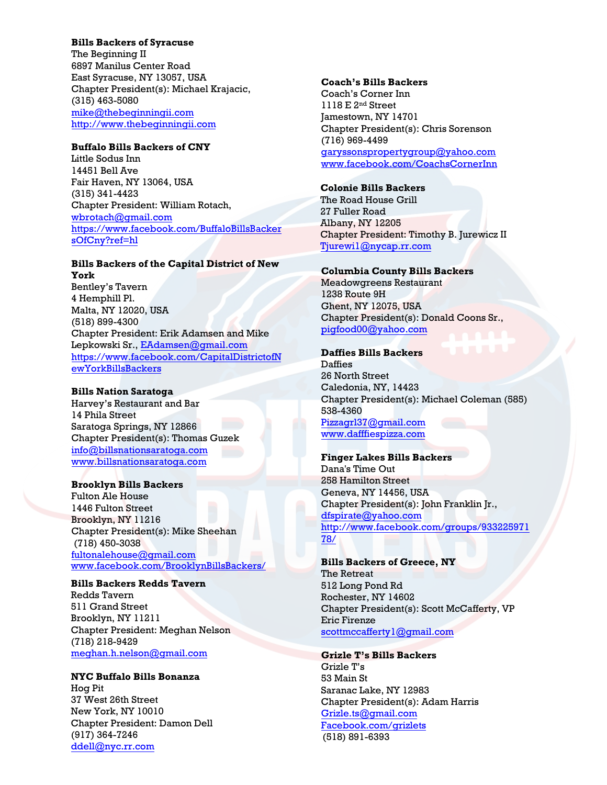## **Bills Backers of Syracuse**

The Beginning II 6897 Manilus Center Road East Syracuse, NY 13057, USA Chapter President(s): Michael Krajacic, (315) 463-5080 mike@thebeginningii.com http://www.thebeginningii.com

## **Buffalo Bills Backers of CNY**

[Little Sodus Inn](mailto:mike@thebeginningii.com) [14451 Bell Ave](http://www.thebeginningii.com/) Fair Haven, NY 13064, USA (315) 341-4423 Chapter President: William Rotach, wbrotach@gmail.com https://www.facebook.com/BuffaloBillsBacker sOfCny?ref=hl

#### **[Bills Backers of the C](mailto:wbrotach@gmail.com)apital District of New [York](https://www.facebook.com/BuffaloBillsBackersOfCny?ref=hl)**

[Bentley's Taver](https://www.facebook.com/BuffaloBillsBackersOfCny?ref=hl)n 4 Hemphill Pl. Malta, NY 12020, USA (518) 899-4300 Chapter President: Erik Adamsen and Mike Lepkowski Sr., EAdamsen@gmail.com https://www.facebook.com/CapitalDistrictofN ewYorkBillsBackers

#### **Bills Nation S[aratoga](mailto:EAdamsen@gmail.com)**

[Harvey's Restaurant and Bar](https://www.facebook.com/CapitalDistrictofNewYorkBillsBackers) [14 Phila Street](https://www.facebook.com/CapitalDistrictofNewYorkBillsBackers)  Saratoga Springs, NY 12866 Chapter President(s): Thomas Guzek info@billsnationsaratoga.com www.billsnationsaratoga.com

### **Brooklyn Bills Backers**

[Fulton Ale House](mailto:info@billsnationsaratoga.com)  [1446 Fulton Street](http://www.billsnationsaratoga.com/)  Brooklyn, NY 11216 Chapter President(s): Mike Sheehan (718) 450-3038 fultonalehouse@gmail.com www.facebook.com/BrooklynBillsBackers/

#### **Bills Backers Redds Tavern**

[Redds Tavern](mailto:fultonalehouse@gmail.com) [511 Grand Street](https://www.facebook.com/BrooklynBillsBackers/) [Broo](https://www.facebook.com/BrooklynBillsBackers/)klyn, NY 11211 Chapter President: Meghan Nelson (718) 218-9429 meghan.h.nelson@gmail.com

## **NYC Buffalo Bills Bonanza**

Hog Pit [37 West 26th Street](mailto:Tjurewi1@nycap.rr.com) New York, NY 10010 Chapter President: Damon Dell (917) 364-7246 ddell@nyc.rr.com

#### **Coach's Bills Backers**

Coach's Corner Inn 1118 E 2nd Street Jamestown, NY 14701 Chapter President(s): Chris Sorenson (716) 969-4499 garyssonspropertygroup@yahoo.com [www.facebook.com/CoachsCornerInn](mailto:garyssonspropertygroup@yahoo.com)

#### **Colonie Bills Backers**

The Road House Grill 27 Fuller Road Albany, NY 12205 Chapter President: Timothy B. Jurewicz II [Tjurewi1@nycap.rr.com](mailto:pigfood00@yahoo.com)

#### **Columbia County Bills Backers**

Meadowgreens Restaurant 1238 Route 9H Ghent, NY 12075, USA Chapter President(s): Donald Coons Sr., pigfood00@yahoo.com

#### **[Daffies Bills Backers](http://www.dafffiespizza.com/)**

**Daffies** 26 North Street Caledonia, NY, 14423 Chapter President(s): Michael Coleman (585) 538-4360 Pizzagrl37@gmail.com [www.dafffiespizza.com](mailto:dfspirate@yahoo.com)

#### **[Finger Lakes Bills Backers](http://www.facebook.com/groups/93322597178/)**  Dana's Time Out

258 Hamilton Street Geneva, NY 14456, USA Chapter President(s): John Franklin Jr., dfspirate@yahoo.com http://www.facebook.com/groups/933225971 [78/](mailto:scottmccafferty1@gmail.com)

#### **Bills Backers of Greece, NY**  The Retreat 512 Long Pond Rd Rochester, NY 14602 Chapter President(s): Scott McCafferty, VP [Eric Firenze](mailto:Grizle.ts@gmail.com)

[scottmccafferty1@gmail](file:///D:/Bills%20Backers/Documents/Bills%20Backers%2015-16/Facebook.com/grizlets).com

# **Grizle T's Bills Backers**

Grizle T's 53 Main St Saranac Lake, NY 12983 Chapter President(s): Adam Harris Grizle.ts@gmail.com Facebook.com/grizlets (518) 891-6393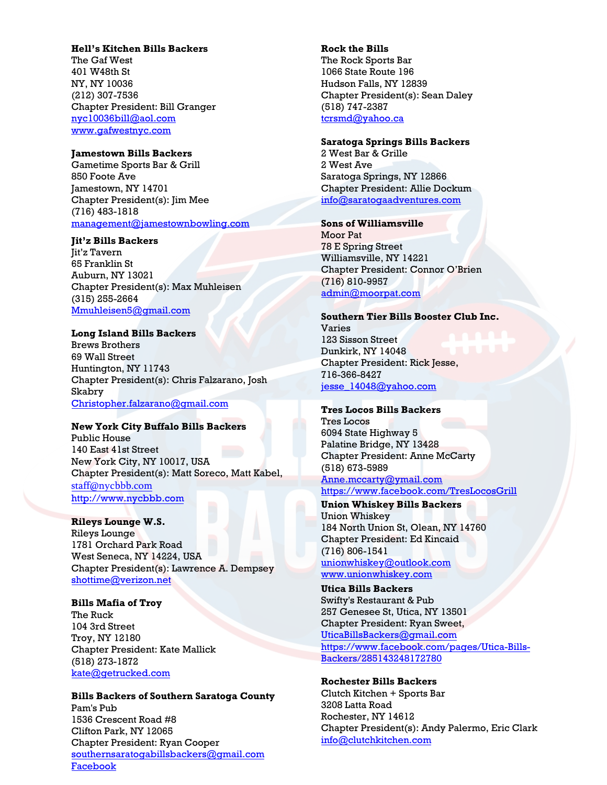### **Hell's Kitchen Bills Backers**

The Gaf West 401 W48th St NY, NY 10036 (212) 307-7536 Chapter President: Bill Granger nyc10036bill@aol.com www.gafwestnyc.com

#### **[Jamestown Bills Bac](http://www.gafwestnyc.com/)[ke](mailto:nyc10036bill@aol.com)rs**

Gametime Sports Bar & Grill 850 Foote Ave Jamestown, NY 14701 Chapter President(s): Jim Mee (716) 483-1818 management@jamestownbowling.com

#### **Jit'z Bills Backers**

[Jit'z Tavern](mailto:management@jamestownbowling.com) 65 Franklin St Auburn, NY 13021 Chapter President(s): Max Muhleisen (315) 255-2664 Mmuhleisen5@gmail.com

#### **Long Island Bills Backers**

[Brews Brothers](mailto:Mmuhleisen5@gmail.com) 69 Wall Street Huntington, NY 11743 Chapter President(s): Chris Falzarano, Josh Skabry Christopher.falzarano@gmail.com

#### **[New York City Buffalo Bills Back](mailto:Christopher.falzarano@gmail.com)ers**

Public House 140 East 41st Street New York City, NY 10017, USA Chapter President(s): Matt Soreco, Matt Kabel, [staff@nycbbb.com](http://www.mondayqbc.com/) http://www.nycbbb.com

### **Rileys Lounge W.S.**  Rileys Lounge 1781 Orchard Park Road West Seneca, NY 14224, USA [Chapter President\(](mailto:staff@nycbbb.com)s): Lawrence A. Dempsey [shottime@verizon.net](http://www.nycbbb.com/)

**Bills Mafia of Troy** The Ruck 104 3rd Street Troy, NY 12180 Chapter President: Kate Mallick (518) [273-1872](mailto:shottime@verizon.net) kate@getrucked.com

**Bills Backers of Southern Saratoga County** Pam's Pub 1536 Crescent Road #8 Clifton Park, NY 12065 Chapter President: Ryan Cooper southernsaratogabillsbackers@gmail.com [Facebook](https://www.facebook.com/SSCBillsBackers)

#### **Rock the Bills**  The Rock Sports Bar 1066 State Route 196 Hudson Falls, NY 12839 Chapter President(s): Sean Daley (518) 747-2387 tcrsmd@yahoo.ca

#### **[Saratoga Springs B](mailto:tcrsmd@yahoo.ca)ills Backers**

2 West Bar & Grille 2 West Ave Saratoga Springs, NY 12866 Chapter President: Allie Dockum info@saratogaadventures.com

### **[Sons of Williamsville](mailto:info@saratogaadventures.com)**

Moor Pat 78 E Spring Street Williamsville, NY 14221 Chapter President: Connor O'Brien (716) 810-9957 admin@moorpat.com

**[Southern Tier Bills Bo](mailto:admin@moorpat.com)oster Club Inc.**  Varies 123 Sisson Street Dunkirk, NY 14048 Chapter President: Rick Jesse, 716-366-8427 jesse\_14048@yahoo.com

#### **[Tres Locos Bills Backers](mailto:jesse_14048@yahoo.com)**

Tres Locos 6094 State Highway 5 Palatine Bridge, NY 13428 Chapter President: Anne McCarty (518) 673-5989 Anne.mccarty@ymail.com https://www.facebook.com/TresLocosGrill

**[Union Whiskey Bills Back](mailto:Anne.mccarty@ymail.com)ers** [Union Whiskey](https://www.facebook.com/TresLocosGrill) 184 North Union St, Olean, NY 14760 Chapter President: Ed Kincaid (716) 806-1541 unionwhiskey@outlook.com www.unionwhiskey.com

**Utica Bills Backers**  [Swifty's Restaurant & Pub](mailto:unionwhiskey@outlook.com)  [257 Genesee St, Utica, NY](http://www.unionwhiskey.com/) 13501 Chapter President: Ryan Sweet, UticaBillsBackers@gmail.com https://www.facebook.com/pages/Utica-Bills-Backers/285143248172780

**[Rochester Bills Backers](mailto:UticaBillsBackers@gmail.com)**

[Clutch Kitchen + Sports Bar](https://www.facebook.com/pages/Utica-Bills-Backers/285143248172780) [3208 Latta Road](https://www.facebook.com/pages/Utica-Bills-Backers/285143248172780) Rochester, NY 14612 Chapter President(s): Andy Palermo, Eric Clark info@clutchkitchen.com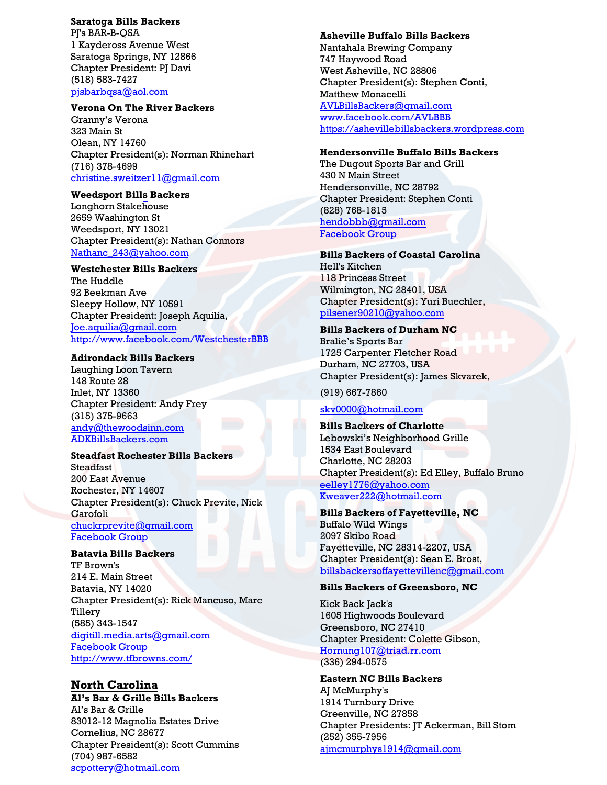## **Saratoga Bills Backers**

PJ's BAR-B-QSA 1 Kaydeross Avenue West Saratoga Springs, NY 12866 Chapter President: PJ Davi (518) 583-7427 pjsbarbqsa@aol.com

#### **Verona On The River Backers**

Granny's Verona 323 Main St Olean, NY 14760 [Chapter President\(s\): Norman Rhi](mailto:christine.sweitzer11@gmail.com)nehart (716) 378-4699 christine.sweitzer11@gmail.com

#### **Weedsport Bills Backers**

Longhorn Stakehouse 2659 Washington St Weedsport, NY 13021 [Chapter President\(s\): Natha](mailto:Nathanc_243@yahoo.com)n Connors Nathanc\_243@yahoo.com

#### **Westchester Bills Backers**

The Huddle 92 Beekman Ave Sleepy Hollow, NY 10591 [Chapter President: Josep](mailto:Joe.aquilia@gmail.com)h Aquilia, Joe.aquilia@gmail.com <http://www.facebook.com/WestchesterBBB>

#### **Adirondack Bills Backers**

Laughing Loon Tavern 148 Route 28 Inlet, NY 13360 Chapter President: Andy Frey (315) 375-9663 andy@thewoodsinn.com [ADKBillsBackers.com](mailto:scpottery@hotmail.com)

#### **Steadfast Rochester Bills Backers** Steadfast

200 East Avenue Rochester, NY 14607 Chapter President(s): Chuck Previte, Nick Garofoli chuckrprevite@gmail.com [Facebook Group](https://m.facebook.com/rocsteadfast/)

#### **[Batavia Bills Backers](http://www.facebook.com/AVLBBB)**

[TF Brown's](https://ashevillebillsbackers.wordpress.com/) 214 E. Main Street Batavia, NY 14020 Chapter President(s): Rick Mancuso, Marc Tillery (585) 343-1547 digitill.media.arts@gmail.com [Facebook](mailto:eelley1776@yahoo.com) Group [http://www.tfbrowns.com/](mailto:Kweaver222@hotmail.com)

## **North Carolina**

**Al's Bar & Grille Bills Backers** Al's Bar & Grille 83012-12 Magnolia Estates Drive Cornelius, NC 28677 [Chapter President\(s\): Scott Cummins](https://www.facebook.com/TFSBATAVIA/) (704) 987-6582 scpottery@hotmail.com

#### **Asheville Buffalo Bills Backers**

Nantahala Brewing Company 747 Haywood Road West Asheville, NC 28806 Chapter President(s): Stephen Conti, Matthew Monacelli AVLBillsBackers@gmail.com [www.facebook.com/AV](mailto:skv0000@hotmail.com)LBBB [https://ashevillebillsbackers](mailto:pilsener90210@yahoo.com).wordpress.com

### **Hendersonville Buffalo Bills Backers**

The Dugout Sports Bar and Grill 430 N Main Street Hendersonville, NC 28792 Chapter President: Stephen Conti (828) 768-1815 hendobbb@gmail.com [Facebook Group](https://www.facebook.com/HendoBBB)

#### **Bills Backers of Coastal Carolina**

Hell's Kitchen 118 Princess Street Wilmington, NC 28401, USA Chapter President(s): Yuri Buechler, [pilsener90210@yahoo.com](mailto:billsbackersoffayettevillenc@gmail.com)

#### **Bills Backers of Durham NC**

Bralie's Sports Bar 1725 Carpenter Fletcher Road Durham, NC 27703, USA Chapter President(s): James Skvarek,

(919) [667-7860](mailto:Hornung107@triad.rr.com)

## skv0000@hotmail.com

**Bills Backers of Charlotte**  Lebowski's Neighborhood Grille 1534 East Boulevard Charlotte, NC 28203 Chapter President(s): Ed Elley, Buffalo Bruno [eelley1776@yahoo.com](mailto:jmelino_1@hotmail.com) Kweaver222@hotmail.com

**Bills Backers of Fayetteville, NC**  Buffalo Wild Wings 2097 Skibo Road Fayetteville, NC 28314-2207, USA Chapter President(s): Sean E. Brost, billsbackersoffayettevillenc@gmail.com

#### **[Bills Backers of Greensb](mailto:timpackman@yahoo.com)oro, NC**

[Kick Back Jack's](https://www.facebook.com/groups/272869352921578/) [1605 H](https://www.facebook.com/groups/272869352921578/)ighwoods Boulevard Greensboro, NC 27410 Chapter President: Colette Gibson, Hornung107@triad.rr.com (336) 294-0575

## **Eastern NC Bills Backers** AJ McMurphy's [1914 Turnbury Drive](mailto:cbbillsbackers@gmail.com)

Greenville, NC 27858 Chapter Presidents: JT Ackerman, Bill Stom (252) 355-7956 ajmcmurphys1914@gmail.com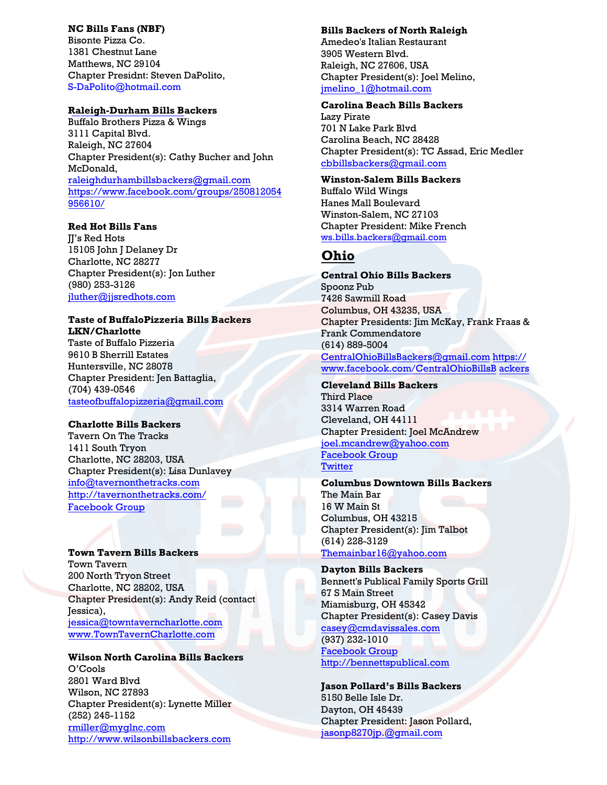#### **NC Bills Fans (NBF)**

Bisonte Pizza Co. 1381 Chestnut Lane Matthews, NC 29104 Chapter Presidnt: Steven DaPolito, S-DaPolito@hotmail.com

## **Raleigh-Durham Bills Backers**

Buffalo Brothers Pizza & Wings [3111 Capital Blvd.](mailto:S-DaPolito@hotmail.com)  Raleigh, NC 27604 Chapter President(s): Cathy Bucher and John McDonald, raleighdurhambillsbackers@gmail.com https://www.facebook.com/groups/250812054 956610/

### **[Red Hot Bills Fans](mailto:raleighdurhambillsbackers@gmail.com)**

**II's Red Hots** [15105 John](https://www.facebook.com/groups/250812054956610/) J Delaney Dr Charlotte, NC 28277 Chapter President(s): Jon Luther (980) 253-3126 jluther@jjsredhots.com

## **Taste of BuffaloPizzeria Bills Backers LKN/Charlotte**

[Taste of Buffalo Pizzeria](mailto:jluther@jjsredhots.com)  9610 B Sherrill Estates Huntersville, NC 28078 Chapter President: Jen Battaglia, (704) 439-0546 tasteofbuffalopizzeria@gmail.com

## **Charlotte Bills Backers**

Tavern On The Tracks [1411 South Tryon](mailto:tasteofbuffalopizzeria@gmail.com)  Charlotte, NC 28203, USA Chapter President(s): Lisa Dunlavey info@tavernonthetracks.com http://tavernonthetracks.com/ [Facebook Group](https://www.facebook.com/groups/331722120634088/about/)

#### **[Town Tavern Bills Backers](http://tavernonthetracks.com/)**

Town Tavern 200 North Tryon Street Charlotte, NC 28202, USA Chapter President(s): Andy Reid (contact Jessica), jessica@towntaverncharlotte.com www.TownTavernCharlotte.com

#### **[Wilson North Carolina Bills Bac](http://www.towntaverncharlotte.com/)[ke](mailto:jessica@towntaverncharlotte.com)rs**  O'Cools

2801 Ward Blvd Wilson, NC 27893 Chapter President(s): Lynette Miller (252) 245-1152 rmiller@myglnc.com http://www.wilsonbillsbackers.com

#### **Bills Backers of North Raleigh**

Amedeo's Italian Restaurant 3905 Western Blvd. Raleigh, NC 27606, USA Chapter President(s): Joel Melino, jmelino\_1@hotmail.com

#### **Carolina Beach Bills Backers**

Lazy Pirate 701 N Lake Park Blvd Carolina Beach, NC 28428 [Chapter President\(s\):](mailto:rmiller@myglnc.com) [TC Assad, Eric](http://www.wilsonbillsbackers.com/) Medler cbbillsbackers@gmail.com

### **Winston-Salem Bills Backers**

Buffalo Wild Wings Hanes Mall Boulevard Winston-Salem, NC 27103 Chapter President: Mike French ws.bills.backers@gmail.com

# **Ohio**

**[Central Ohio Bills Backers](mailto:buffalobillsfanatic12@gmail.com)**  Spoonz Pub 7426 Sawmill Road Columbus, OH 43235, USA Chapter Presidents: Jim McKay, Frank Fraas & Frank Commendatore (614) 889-5004 CentralOhioBillsBackers@gmail.com https:// www.facebook.com/CentralOhioBillsB ackers

**[Cleveland Bills Backers](mailto:CentralOhioBillsBackers@gmail.com)**  [Third Place](https://www.facebook.com/CentralOhioBillsBackers)  [3314 W](https://www.facebook.com/CentralOhioBillsBackers)arren Road Cleveland, OH 44111 Chapter President: Joel McAndrew joel.mcandrew@yahoo.com [Facebook Group](https://m.facebook.com/groups/157027448405004?view=info) **[Twitter](https://twitter.com/CleBillsBackers)** 

#### **Columbus Downtown Bills Backers**  The Main Bar [16 W Main St](mailto:Themainbar16@yahoo.com)  Columbus, OH 43215 Chapter President(s): Jim Talbot (614) 228-3129 Themainbar16@yahoo.com

## **Dayton Bills Backers**  [Bennett's Publical Family Sp](mailto:casey@cmdavissales.com)orts Grill 67 S Main Street Miamisburg, OH 45342

Chapter President(s): Casey Davis casey@cmdavissales.com (937) 232-1010 [Facebook Group](mailto:jasonp8270jp.@gmail.com) [http://bennettspublical.com](https://www.facebook.com/daytonbillsbackers/)

**Jason Pollard's Bills Backers** 5150 Belle Isle Dr. Dayton, OH 45439 Chapter President: Jason Pollard, jasonp8270jp.@gmail.com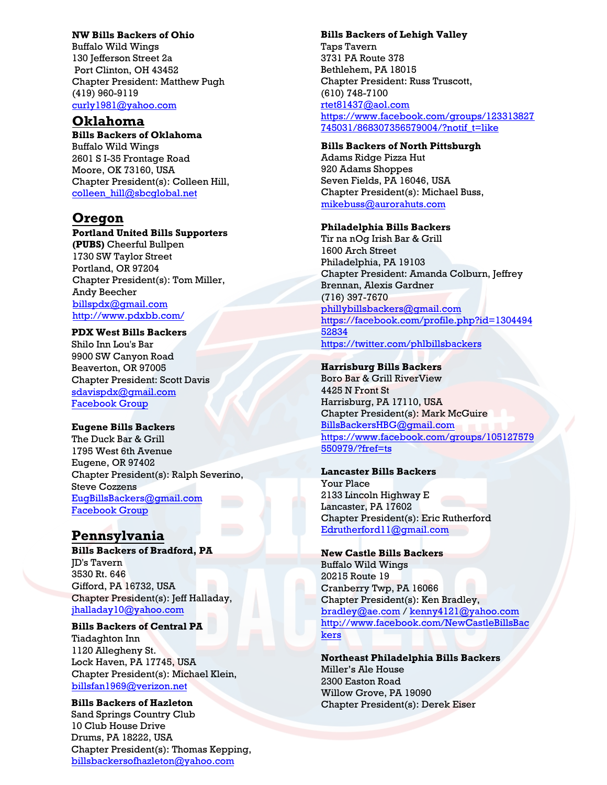## **NW Bills Backers of Ohio**

Buffalo Wild Wings 130 Jefferson Street 2a Port Clinton, OH 43452 Chapter President: Matthew Pugh (419) 960-9119 curly1981@yahoo.com

# **Oklahoma**

**Bills Backers of Oklahoma**  [Buffalo Wild Wings](mailto:chill@mntechnology.com)  2601 S I-35 Frontage Road Moore, OK 73160, USA Chapter President(s): Colleen Hill, colleen\_hill@sbcglobal.net

# **Oregon**

#### **Portland United Bills Supporters**

**(PUBS)** Cheerful Bullpen 1730 SW Taylor Street [Portland, OR 97204](mailto:billspdx@gmail.com) [Chapter President\(s\): Tom](http://www.pdxbb.com/) Miller, Andy Beecher billspdx@gmail.com http://www.pdxbb.com/

## **PDX West Bills Backers**

Shilo Inn Lou's Bar 9900 SW Canyon Road Beaverton, OR 97005 [Chapter President: Scott D](mailto:jhalladay10@yahoo.com)avis sdavispdx@gmail.com Facebook Group

### **Eugene Bills Backers**

The Duck Bar & Grill 1795 West 6th Avenue [Eugene, OR 97402](mailto:billsfan1969@verizon.net) Chapter President(s): Ralph Severino, Steve Cozzens EugBillsBackers@gmail.com [Facebook Group](https://www.facebook.com/EugBillsBackers)

# **[Pennsylvania](mailto:billsbackersofhazleton@yahoo.com)**

**Bills Backers of Bradford, PA** JD's Tavern 3530 Rt. 646 Gifford, PA 16732, USA Chapter President(s): Jeff Halladay, jhalladay10@yahoo.com

### **Bills Backers of Central PA**

[Tiadaghton Inn](mailto:rtet81437@aol.com)  [1120 Allegheny St.](https://www.facebook.com/groups/123313827745031/868307356579004/?notif_t=like)  [Lock Haven, PA](https://www.facebook.com/groups/123313827745031/868307356579004/?notif_t=like) 17745, USA Chapter President(s): Michael Klein, billsfan1969@verizon.net

# **Bills Backers of Hazleton**  Sand Springs Country Club

10 Club House Drive Drums, PA 18222, USA Chapter President(s): Thomas Kepping, billsbackersofhazleton@yahoo.com

#### **Bills Backers of Lehigh Valley**

Taps Tavern 3731 PA Route 378 Bethlehem, PA 18015 Chapter President: Russ Truscott, (610) 748-7100 rtet81437@aol.com https://www.facebook.com/groups/123313827 [745031/868307356579004/?n](mailto:mikebuss@aurorahuts.com)otif\_t=like

#### **Bills Backers of North Pittsburgh**

Adams Ridge Pizza Hut 920 Adams Shoppes Seven Fields, PA 16046, USA Chapter President(s): Michael Buss, mikebuss@aurorahuts.com

### **Philadelphia Bills Backers**

T[ir na nOg Irish Bar & Grill](mailto:phillybillsbackers@gmail.com) [1600 Arch Street](https://facebook.com/profile.php?id=130449452834) [Philade](https://facebook.com/profile.php?id=130449452834)lphia, PA 19103 [Chapter President:](https://twitter.com/phlbillsbackers) Amanda Colburn, Jeffrey Brennan, Alexis Gardner (716) 397-7670 phillybillsbackers@gmail.com https://facebook.com/profile.php?id=1304494 52834 https://twitter.com/phlbillsbackers

### **[Harrisburg Bills Backers](https://www.facebook.com/groups/105127579550979/?fref=ts)**

[Boro Bar & Grill](https://www.facebook.com/groups/105127579550979/?fref=ts) RiverView 4425 N Front St Harrisburg, PA 17110, USA Chapter President(s): Mark McGuire BillsBackersHBG@gmail.com https://www.facebook.com/groups/105127579 550979/?fref=ts

### **Lancaster Bills Backers**

Your Place 2133 Lincoln Highway E Lancaster, PA 17602 Chapter President(s): Eric Rutherford Edrutherford11@gmail.com

### **[New Castle Bills Backers](http://www.facebook.com/NewCastleBillsBackers)**  [Buffa](http://www.facebook.com/NewCastleBillsBackers)lo Wild Wings 20215 Route 19 Cranberry Twp, PA 16066 Chapter President(s): Ken Bradley, bradley@ae.com / kenny4121@yahoo.com http://www.facebook.com/NewCastleBillsBac kers

**Northeast Philadelphia Bills Backers**  Miller's Ale House 2300 Easton Road Willow Grove, PA 19090 Chapter President(s): Derek Eiser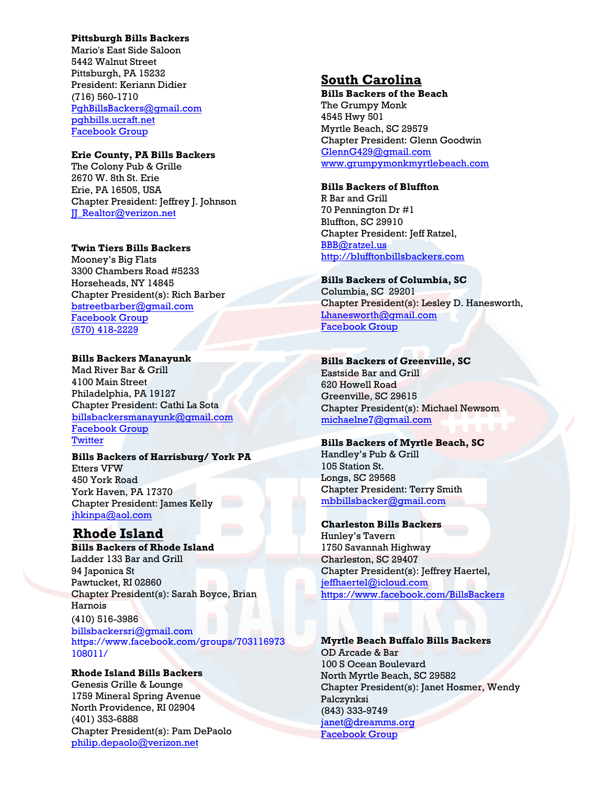## **Pittsburgh Bills Backers**

Mario's East Side Saloon 5442 Walnut Street Pittsburgh, PA 15232 President: Keriann Didier (716) 560-1710 PghBillsBackers@gmail.com <pghbills.ucraft.net> [Facebook Group](https://www.facebook.com/groups/pghBIlls/)

#### **[Erie County, PA Bills Backers](http://www.mariospgh.com/southside/)**

[The Colony Pub & Grille](https://www.facebook.com/groups/159005944185/)  [2670](https://www.facebook.com/groups/159005944185/) W. 8th St. Erie Erie, PA 16505, USA Chapter President: Jeffrey J. Johnson JJ\_Realtor@verizon.net

#### **Twin Tiers Bills Backers**

[Mooney's Big Flats](mailto:JJ_Realtor@verizon.net) 3300 Chambers Road #5233 Horseheads, NY 14845 Chapter President(s): Rich Barber bstreetbarber@gmail.com [Facebook Group](https://www.facebook.com/groups/1487673291487536) (570) 418-2229

## **[Bills Backers Manayunk](https://www.facebook.com/groups/1487673291487536)**

[Mad Rive](https://www.facebook.com/groups/1487673291487536)r Bar & Grill 4100 Main Street Philadelphia, PA 19127 Chapter President: Cathi La Sota billsbackersmanayunk@gmail.com [Facebook Group](https://www.facebook.com/BBManayunk) **[Twitter](https://twitter.com/BBManayunk)** 

### **Bills Backers of Harrisburg/ York PA** Etters VFW 450 York Road York Haven, PA 17370 [Chapter President:](mailto:billsbackersri@gmail.com) James Kelly [jhkinpa@aol.com](https://www.facebook.com/groups/703116973108011/)

# **[Rhode](https://www.facebook.com/groups/703116973108011/) Island**

**Bills Backers of Rhode Island**  Ladder 133 Bar and Grill 94 Japonica St Pawtucket, RI 02860 Chapter President(s): Sarah Boyce, Brian Harnois

(410) 516-3986 billsbackersri@gmail.com https://www.facebook.com/groups/703116973 108011/

### **Rhode Island Bills Backers**  Genesis Grille & Lounge 1759 Mineral Spring Avenue North Providence, RI 02904 (401) 353-6888 Chapter President(s): Pam DePaolo philip.depaolo@verizon.net

# **South Carolina**

**Bills Backers of the Beach**  The Grumpy Monk 4545 Hwy 501 Myrtle Beach, SC 29579 Chapter President: Glenn Goodwin [GlennG429@gmail.com](mailto:GlennG429@gmail.com) [www.grumpymonkmyrtlebeach.com](http://www.grumpymonkmyrtlebeach.com/)

### **Bills Backers of Bluffton**

R Bar and Grill 70 Pennington Dr #1 Bluffton, SC 29910 Chapter President: Jeff Ratzel, [BBB@ratzel.us](mailto:BBB@ratzel.us) [http://blufftonbillsbackers.com](http://blufftonbillsbackers.com/)

# **Bills Backers of Columbia, SC** Columbia, SC 29201

Chapter President(s): Lesley D. Hanesworth, Lhanesworth@gmail.com [Facebook Group](https://m.facebook.com/groups/842948892458113)

# **[Bills Backers of Greenville, SC](http://www.facebook.com/pages/Buffalo-Bills-Backers-Columbia-SC/197470183601452)**

Eastside Bar and Grill 620 Howell Road Greenville, SC 29615 Chapter President(s): Michael Newsom michaelne7@gmail.com

## **[Bills Backers of Myrtle](mailto:flutiefide7@yahoo.com) Beach, SC**

Handley's Pub & Grill 105 Station St. Longs, SC 29568 Chapter President: Terry Smith mbbillsbacker@gmail.com

## **[Charleston Bills Backers](mailto:mbbillsbacker@gmail.com)**

Hunley's Tavern 1750 Savannah Highway Charleston, SC 29407 Chapter President(s): Jeffrey Haertel, jeffhaertel@icloud.com https://www.facebook.com/BillsBackers

# **Myrtle Beach Buffalo Bills Backers**  OD Arcade & Bar

100 S Ocean Boulevard North Myrtle Beach, SC 29582 Chapter President(s): Janet Hosmer, Wendy Palczynksi (843) 333-9749 janet@dreamms.org [Facebook Group](https://www.facebook.com/Myrtle-Beach-Buffalo-Bills-Backers-1333929460070305/?modal=admin_todo_tour)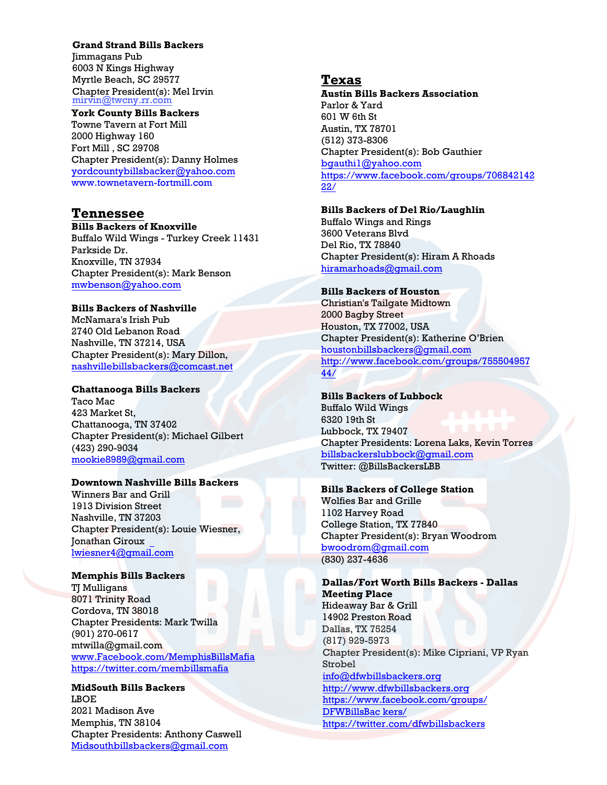### **Grand Strand Bills Backers**

Jimmagans Pub 6003 N Kings Highway Myrtle Beach, SC 29577 Chapter President(s): Mel Irvin<br>mirvin@twcny.rr.com

**York County Bills Backers**  Towne Tavern at Fort Mill [2000 Highway 160](mailto:yordcountybillsbacker@yahoo.com)  [Fort Mill , SC 29708](http://www.townetavern-fortmill.com/)  Chapter President(s): Danny Holmes yordcountybillsbacker@yahoo.com www.townetavern-fortmill.com

## **Tennessee**

**Bills Backers of Knoxville**  Buffalo Wild Wings - Turkey Creek 11431 [Parkside Dr.](mailto:mwbenson@yahoo.com)  Knoxville, TN 37934 Chapter President(s): Mark Benson mwbenson@yahoo.com

#### **Bills Backers of Nashville**

McNamara's Irish Pub [2740 Old Lebanon Road](mailto:nashvillebillsbackers@comcast.net)  Nashville, TN 37214, USA Chapter President(s): Mary Dillon, nashvillebillsbackers@comcast.net

#### **Chattanooga Bills Backers**

Taco Mac 423 Market St, [Chattanooga, TN 37402](mailto:Snakemb134@gmail.com)  Chapter President(s): Michael Gilbert (423) 290-9034 mookie8989@gmail.com

## **Downtown Nashville Bills Backers**

Winners Bar and Grill 1913 Division Street Nashville, TN 37203 [Chapter President\(s\): Louie Wiesner,](http://www.facebook.com/MemphisBillsMafia)  [Jonathan Giroux](https://twitter.com/membillsmafia)  lwiesner4@gmail.com

#### **Memphis Bills Backers**

**TJ** Mulligans 8071 Trinity Road Cordova, TN 38018 [Chapter Presidents: Mark Twilla](mailto:Midsouthbillsbackers@gmail.com)  (901) 270-0617 mtwilla@gmail.com www.Facebook.com/MemphisBillsMafia https://twitter.com/membillsmafia

**MidSouth Bills Backers**  LBOE 2021 Madison Ave Memphis, TN 38104 Chapter Presidents: Anthony Caswell Midsouthbillsbackers@gmail.com

#### **Texas**

**Austin Bills Backers Association** Parlor & Yard 601 W 6th St Austin, TX 78701 (512) 373-8306 Chapter President(s): Bob Gauthier [bgauthi1@yahoo.com](mailto:bgauthi1@yahoo.com) [https://www.facebook.com/groups/706842142](https://www.facebook.com/groups/70684214222/) [22/](https://www.facebook.com/groups/70684214222/)

### **Bills Backers of Del Rio/Laughlin**

Buffalo Wings and Rings 3600 Veterans Blvd Del Rio, TX 78840 Chapter President(s): Hiram A Rhoads [hiramarhoads@gmail.com](mailto:hiramarhoads@gmail.com)

#### **Bills Backers of Houston**

Christian's Tailgate Midtown 2000 Bagby Street Houston, TX 77002, USA Chapter President(s): Katherine O'Brien [houstonbillsbackers@gmail.com](mailto:houstonbillsbackers@gmail.com) [http://www.facebook.com/groups/755504957](http://www.facebook.com/groups/75550495744/) [44/](http://www.facebook.com/groups/75550495744/)

### **Bills Backers of Lubbock**

Buffalo Wild Wings 6320 19th St Lubbock, TX 79407 Chapter Presidents: Lorena Laks, Kevin Torres [billsbackerslubbock@gmail.com](mailto:billsbackerslubbock@gmail.com) Twitter: @BillsBackersLBB

# **Bills Backers of College Station**

Wolfies Bar and Grille 1102 Harvey Road College Station, TX 77840 Chapter President(s): Bryan Woodrom [bwoodrom@gmail.com](mailto:bwoodrom@gmail.com) (830) 237-4636

### **Dallas/Fort Worth Bills Backers - Dallas Meeting Place**  Hideaway Bar & Grill

14902 Preston Road Dallas, TX 75254 (817) 929-5973 Chapter President(s): Mike Cipriani, VP Ryan Strobel info@dfwbillsbackers.org http://www.dfwbillsbackers.org https://www.facebook.com/groups/ DFWBillsBac kers/

https://twitter.com/dfwbillsbackers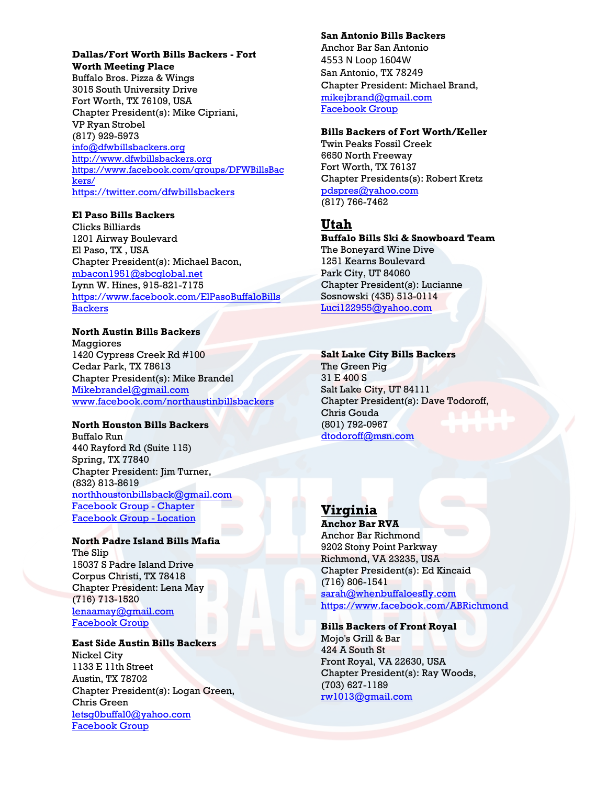# **Dallas/Fort Worth Bills Backers - Fort Worth Meeting Place**

Buffalo Bros. Pizza & Wings 3015 South University Drive Fort Worth, TX 76109, USA Chapter President(s): Mike Cipriani, VP Ryan Strobel (817) 929-5973 info@dfwbillsbackers.org http://www.dfwbillsbackers.org [https://www.facebook.com](mailto:info@dfwbillsbackers.org)/groups/DFWBillsBac [kers/](http://www.dfwbillsbackers.org/) [https://twitter.com/dfwbillsbackers](https://www.facebook.com/groups/DFWBillsBackers/)

## **[El Paso Bills Backers](https://twitter.com/dfwbillsbackers)**

Clicks Billiards 1201 Airway Boulevard El Paso, TX , USA Chapter President(s): Michael Bacon, mbacon1951@sbcglobal.net Lynn W. Hines, 915-821-7175 https://www.facebook.com/ElPasoBuffaloBills **Backers** 

## **[North Austin Bills Backe](mailto:info@dfwbillsbackers.org)rs**

[Maggiores](http://www.dfwbillsbackers.org/)  [1420 Cypress Creek Rd #100](https://www.facebook.com/groups/DFWBillsBackers/)  [Cedar](https://www.facebook.com/groups/DFWBillsBackers/) Park, TX 78613 [Chapter President\(s\): Mike Brandel](https://twitter.com/dfwbillsbackers)  Mikebrandel@gmail.com www.facebook.com/northaustinbillsbackers

## **North Houston Bills Backers**

Buffalo Run 440 Rayford Rd (Suite 115) [Spring, TX 77840](mailto:mbacon1951@sbcglobal.net)  [Chapter President: Jim Turner,](https://www.facebook.com/ElPasoBuffaloBillsBackers)  (832) 813-8619 [northhou](https://www.facebook.com/ElPasoBuffaloBillsBackers)stonbillsback@gmail.com [Facebook Group - Chapter](https://www.facebook.com/groups/BillsBackersHouston/) [Facebook Group - Location](https://www.facebook.com/BuffaloRunTX/)

# **North Padre Island Bills Mafia**

The Slip 15037 S Padre Island Drive [Corpus Christi, TX 78418](mailto:Mikebrandel@gmail.com) [Chapter President: Lena May](http://www.facebook.com/northaustinbillsbackers)  (716) 713-1520 lenaamay@gmail.com [Facebook Group](https://m.facebook.com/groups/929287210557449)

### **East Side Austin Bills Backers** Nickel City 1133 E 11th Street [Austin, TX 78702](mailto:northhoustonbillsback@gmail.com) [Chapter President\(s\): Logan Green,](https://www.facebook.com/groups/BillsBackersHouston/)

[Chris Green](https://www.facebook.com/groups/BillsBackersHouston/) letsg0buffal0@yahoo.com [Facebook Group](https://www.facebook.com/groups/eastsidebillsbackers/)

### **San Antonio Bills Backers**

Anchor Bar San Antonio 4553 N Loop 1604W San Antonio, TX 78249 Chapter President: Michael Brand, mikejbrand@gmail.com [Facebook Group](https://www.facebook.com/groups/718641914 857565/)

### **Bills Backers of Fort Worth/Keller**

[Twin Peaks Fossil Creek](mailto:mikejbrand@gmail.com)  [6650 North Freeway](https://www.facebook.com/groups/718641914857565/)  [Fort Wor](https://www.facebook.com/groups/718641914857565/)th, TX 76137 Chapter Presidents(s): Robert Kretz pdspres@yahoo.com (817) 766-7462

# **Utah**

**[Buffalo Bills Ski & Sn](mailto:pdspres@yahoo.com)owboard Team**  The Boneyard Wine Dive 1251 Kearns Boulevard Park City, UT 84060 Chapter President(s): Lucianne Sosnowski (435) 513-0114 Luci122955@yahoo.com

## **Salt Lake City Bills Backers**

[The Green Pig](mailto:Luci122955@yahoo.com) 31 E 400 S Salt Lake City, UT 84111 Chapter President(s): Dave Todoroff, Chris Gouda (801) 792-0967 dtodoroff@msn.com

# **Virginia**

**Anchor Bar RVA** Anchor Bar Richmond 9202 Stony Point Parkway Richmond, VA 23235, USA [Chapter President\(s\): Ed Kinc](mailto:sarah@whenbuffaloesfly.com)[aid](https://www.facebook.com/ABRichmond) (716) 806-1541 sarah@whenbuffaloesfly.com https://www.facebook.com/ABRichmond

### **Bills Backers of Front Royal**  Mojo's Grill & Bar 424 A South St Front Royal, VA 22630, USA [Chapter President\(s\)](mailto:rw1013@gmail.com): Ray Woods, (703) 627-1189 rw1013@gmail.com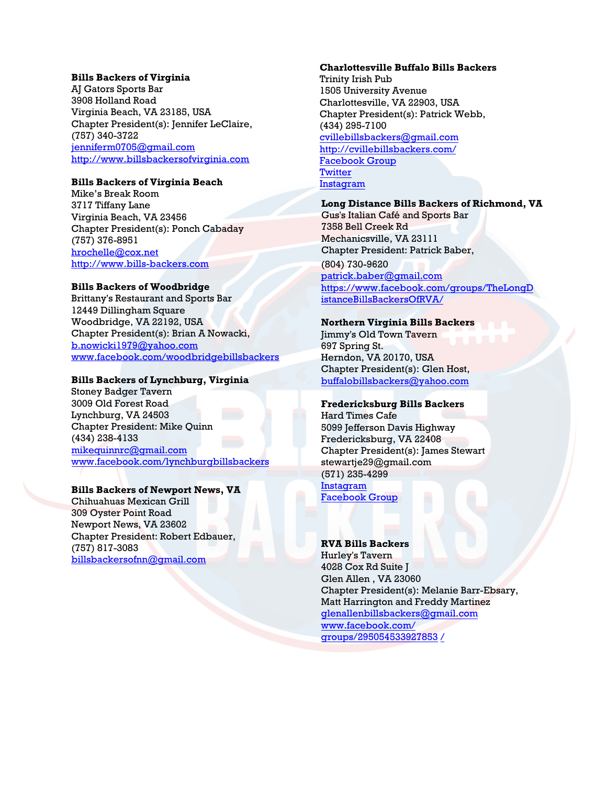#### **Bills Backers of Virginia**

AJ Gators Sports Bar 3908 Holland Road Virginia Beach, VA 23185, USA Chapter President(s): Jennifer LeClaire, (757) 340-3722 [jenniferm0705@gmail.com](mailto:jenniferm0705@gmail.com) [http://www.billsbackersofvirginia.com](http://www.billsbackersofvirginia.com/)

### **Bills Backers of Virginia Beach**

Mike's Break Room 3717 Tiffany Lane Virginia Beach, VA 23456 Chapter President(s): Ponch Cabaday (757) 376-8951 [hrochelle@cox.net](mailto:hrochelle@cox.net) [http://www.bills-backers.com](http://www.bills-backers.com/)

#### **Bills Backers of Woodbridge**

Brittany's Restaurant and Sports Bar 12449 Dillingham Square Woodbridge, VA 22192, USA Chapter President(s): Brian A Nowacki, [b.nowicki1979@yahoo.com](mailto:b.nowicki1979@yahoo.com) [www.facebook.com/woodbridgebillsbackers](http://www.facebook.com/woodbridgebillsbackers)

#### **Bills Backers of Lynchburg, Virginia**

Stoney Badger Tavern 3009 Old Forest Road Lynchburg, VA 24503 Chapter President: Mike Quinn [\(434\) 238-4133](mailto:buffbillsbackersalexandria@gmail.com) mikequinnrc@gmail.com www.facebook.com/lynchburgbillsbackers

### **Bills Backers of Newport News, VA**

Chihuahuas Mexican Grill 309 Oyster Point Road Newport News, VA 23602 [Chapter President: Robert](mailto:mikequinnrc@gmail.com) Edbauer, (757) 817-3083 [billsbackersofnn@gmail.com](http://www.facebook.com/lynchburgbillsbackers)

## **Charlottesville Buffalo Bills Backers**

Trinity Irish Pub 1505 University Avenue Charlottesville, VA 22903, USA Chapter President(s): Patrick Webb, (434) 295-7100 cvillebillsbackers@gmail.com [http://cvillebillsbackers.com/](mailto:cvillebillsbackers@gmail.com) [Facebook Group](https://www.facebook.com/CharlottesvilleBuffaloBillsBackers/?hc_ref=ARR_TWq2t_1UQNCrAksbRRFfS4crz8GTGOwDOLicGXj4tnS0QIA68N4i3O0ONrGQWgU&fref=nf) **[Twitter](https://twitter.com/CVilleBillsBkrs)** [Instagram](https://www.instagram.com/cvillebillsbackers/)

### **Long Distance Bills Backers of Richmond, VA**

Gus's Italian Café and Sports Bar 7358 Bell Creek Rd Mechanicsville, VA 23111 Chapter President: Patrick Baber,

(804) 730-9620 patrick.baber@gmail.com [https://www.facebook.com](mailto:patrick.baber@gmail.com)/groups/TheLongD [istanceBillsBackersOfRVA/](https://www.facebook.com/groups/TheLongDistanceBillsBackersOfRVA/)

#### **Northern Virginia Bills Backers**

Jimmy's Old Town Tavern 697 Spring St. Herndon, VA 20170, USA Chapter President(s): Glen Host, [buffalobillsbackers@yahoo.com](mailto:buffalobillsbackers@yahoo.com)

### **Fredericksburg Bills Backers**

Hard Times Cafe 5099 Jefferson Davis Highway Fredericksburg, VA 22408 Chapter President(s): James Stewart stewartje29@gmail.com (571) [235-4299](mailto:jacobpastwik@gmail.com)  [Instagram](https://www.instagram.com/fredericksburgbillsbackers/?fbclid=IwAR3Xp5BPY-MQfRBNC2FsSvrI_DdmAgj3avTBdFaZYotzDu9PoyvKIqLmtcY) [Facebook Group](https://www.facebook.com/FredericksburgBillsBackers/Maltese)

#### **RVA Bills Backers**

Hurley's Tavern 4028 Cox Rd Suite J Glen Allen , VA 23060 [Chapter President\(s\): Melanie Barr-](mailto:glenallenbillsbackers@gmail.com)Ebsary, [Matt Harrington and Freddy Martinez](https://www.facebook.com/groups/295054533927853/)  [gl](https://www.facebook.com/groups/295054533927853/)enallenbillsbackers@gmail.com www.facebook.com/ groups/295054533927853 /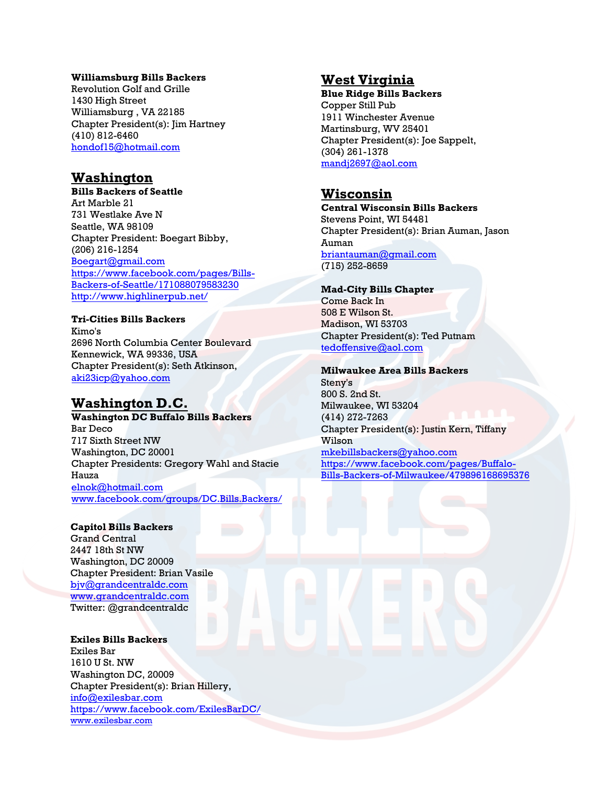#### **Williamsburg Bills Backers**

Revolution Golf and Grille 1430 High Street Williamsburg , VA 22185 Chapter President(s): Jim Hartney (410) 812-6460 [hondof15@hotmail.com](mailto:hondof15@hotmail.com)

# **Washington**

**Bills Backers of Seattle**  Art Marble 21 731 Westlake Ave N Seattle, WA 98109 Chapter President: Boegart Bibby, (206) 216-1254 [Boegart@gmail.com](mailto:Boegart@gmail.com) [https://www.facebook.com/pages/Bills-](https://www.facebook.com/pages/Bills-Backers-of-Seattle/171088079583230)[Backers-of-Seattle/171088079583230](https://www.facebook.com/pages/Bills-Backers-of-Seattle/171088079583230) <http://www.highlinerpub.net/>

### **Tri-Cities Bills Backers**

Kimo's 2696 North Columbia Center Boulevard Kennewick, WA 99336, USA Chapter President(s): Seth Atkinson, [aki23icp@yahoo.com](mailto:aki23icp@yahoo.com)

# **Washington D.C.**

**Washington DC Buffalo Bills Backers**  Bar Deco 717 Sixth Street NW Washington, DC 20001 Chapter Presidents: Gregory Wahl and Stacie Hauza [elnok@hotmail.com](mailto:elnok@hotmail.com)  [www.facebook.com/groups/DC.Bills.Backers/](http://www.facebook.com/groups/DC.Bills.Backers/)

#### **Capitol Bills Backers**

Grand Central 2447 18th St NW Washington, DC 20009 Chapter President: Brian Vasile [bjv@grandcentraldc.com](mailto:bjv@grandcentraldc.com) [www.grandcentraldc.com](http://www.grandcentraldc.com/) Twitter: @grandcentraldc

**Exiles Bills Backers**  Exiles Bar 1610 U St. NW Washington DC, 20009 [Chapter President\(s\):](mailto:info@exilesbar.com) Brian Hillery, [info@exilesbar.com](https://www.facebook.com/ExilesBarDC/) [https://www.facebo](http://www.exilesbar.com/)ok.com/ExilesBarDC/ www.exilesbar.com

# **West Virginia**

**Blue Ridge Bills Backers** Copper Still Pub 1911 Winchester Avenue Martinsburg, WV 25401 Chapter President(s): Joe Sappelt, (304) 261-1378 [mandj2697@aol.com](mailto:mandj2697@aol.com)

# **Wisconsin**

**Central Wisconsin Bills Backers**  Stevens Point, WI 54481 Chapter President(s): Brian Auman, Jason Auman briantauman@gmail.com (715) 252-8659

#### **Mad-City Bills Chapter**

Come Back In 508 E Wilson St. Madison, WI 53703 Chapter President(s): Ted Putnam tedoffensive@aol.com

#### **[Milwaukee Area Bills](mailto:tedoffensive@aol.com) Backers**

Steny's 800 S. 2nd St. Milwaukee, WI 53204 (414) 272-7263 Chapter President(s): Justin Kern, Tiffany Wilson mkebillsbackers@yahoo.com https://www.facebook.com/pages/Buffalo-[Bills-Backers-of-Milwaukee/47](mailto:mkebillsbackers@yahoo.com)9896168695376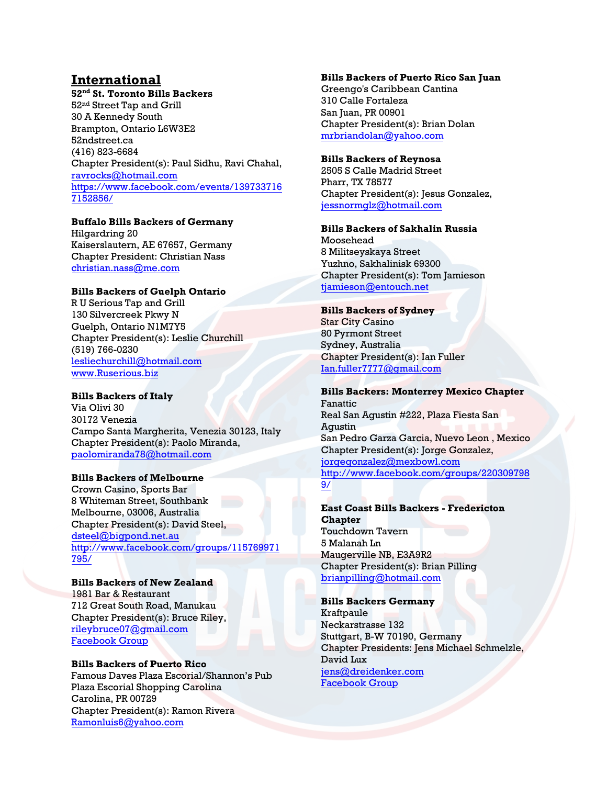# **International**

**52nd St. Toronto Bills Backers**  52nd Street Tap and Grill 30 A Kennedy South Brampton, Ontario L6W3E2 52ndstreet.ca (416) 823-6684 Chapter President(s): Paul Sidhu, Ravi Chahal, [ravrocks@hotmail.com](mailto:ravrocks@hotmail.com) [https://www.facebook.com/events/139733716](https://www.facebook.com/events/1397337167152856/) [7152856/](https://www.facebook.com/events/1397337167152856/)

## **Buffalo Bills Backers of Germany**

Hilgardring 20 Kaiserslautern, AE 67657, Germany Chapter President: Christian Nass christian.nass@me.com

## **[Bills Backers of Guelph Ont](mailto:lesliechurchill@hotmail.com)ario**

[R U Serious Tap and](http://www.ruserious.biz/) Grill 130 Silvercreek Pkwy N Guelph, Ontario N1M7Y5 Chapter President(s): Leslie Churchill (519) 766-0230 lesliechurchill@hotmail.com www.Ruserious.biz

## **Bills Backers of Italy**

Via Olivi 30 30172 Venezia Campo Santa Margherita, Venezia 30123, Italy Chapter President(s): Paolo Miranda, [paolomiranda78@hotma](mailto:dsteel@bigpond.net.au)il.com

### **[Bills Backers of Melbourne](http://www.facebook.com/groups/115769971795/)**

[Crow](http://www.facebook.com/groups/115769971795/)n Casino, Sports Bar 8 Whiteman Street, Southbank Melbourne, 03006, Australia Chapter President(s): David Steel, dsteel@bigpond.net.au http://www.facebook.com/groups/115769971 [795/](mailto:briley@davieslogistics.co.nz)

### **Bills Backers of New Zealand**

1981 Bar & Restaurant 712 Great South Road, Manukau Chapter President(s): Bruce Riley, rileybruce07@gmail.com [Facebook Group](mailto:Ramonluis6@yahoo.com)

## **Bills Backers of Puerto Rico**

Famous Daves Plaza Escorial/Shannon's Pub Plaza Escorial Shopping Carolina Carolina, PR 00729 Chapter President(s): Ramon Rivera Ramonluis6@yahoo.com

#### **Bills Backers of Puerto Rico San Juan**

Greengo's Caribbean Cantina 310 Calle Fortaleza San Juan, PR 00901 Chapter President(s): Brian Dolan [mrbriandolan@yahoo.com](mailto:Ramonluis6@yahoo.com)

### **Bills Backers of Reynosa**

2505 S Calle Madrid Street Pharr, TX 78577 Chapter President(s): Jesus Gonzalez, jessnormglz@hotmail.com

#### **[Bills Backers of Sakhalin R](mailto:jessnormglz@hotmail.com)ussia**

Moosehead 8 Militseyskaya Street Yuzhno, Sakhalinisk 69300 Chapter President(s): Tom Jamieson tjamieson@entouch.net

## **[Bills Backers of Sydney](mailto:tjamieson@entouch.net)**

Star City Casino 80 Pyrmont Street Sydney, Australia Chapter President(s): Ian Fuller Ian.fuller7777@gmail.com

## **[Bills Backers: Monterrey](mailto:Ian.fuller7777@gmail.com) Mexico Chapter**

Fanattic Real San Agustin #222, Plaza Fiesta San Agustin San Pedro Garza Garcia, Nuevo Leon , Mexico Chapter President(s): Jorge Gonzalez, jorgegonzalez@mexbowl.com http://www.facebook.com/groups/220309798 [9/](mailto:jorgegonzalez@mexbowl.com)

#### **[Ea](http://www.facebook.com/groups/2203097989/)st Coast Bills Backers - Fredericton Chapter**  Touchdown Tavern 5 Malanah Ln Maugerville NB, E3A9R2 Chapter President(s): Brian Pilling brianpilling@hotmail.com

### **[Bills Backers Germany](mailto:brianpilling@hotmail.com)**

Kraftpaule Neckarstrasse 132 Stuttgart, B-W 70190, Germany Chapter Presidents: Jens Michael Schmelzle, David Lux jens@dreidenker.com [Facebook Group](https://www.facebook.com/groups/1832308220314025/)